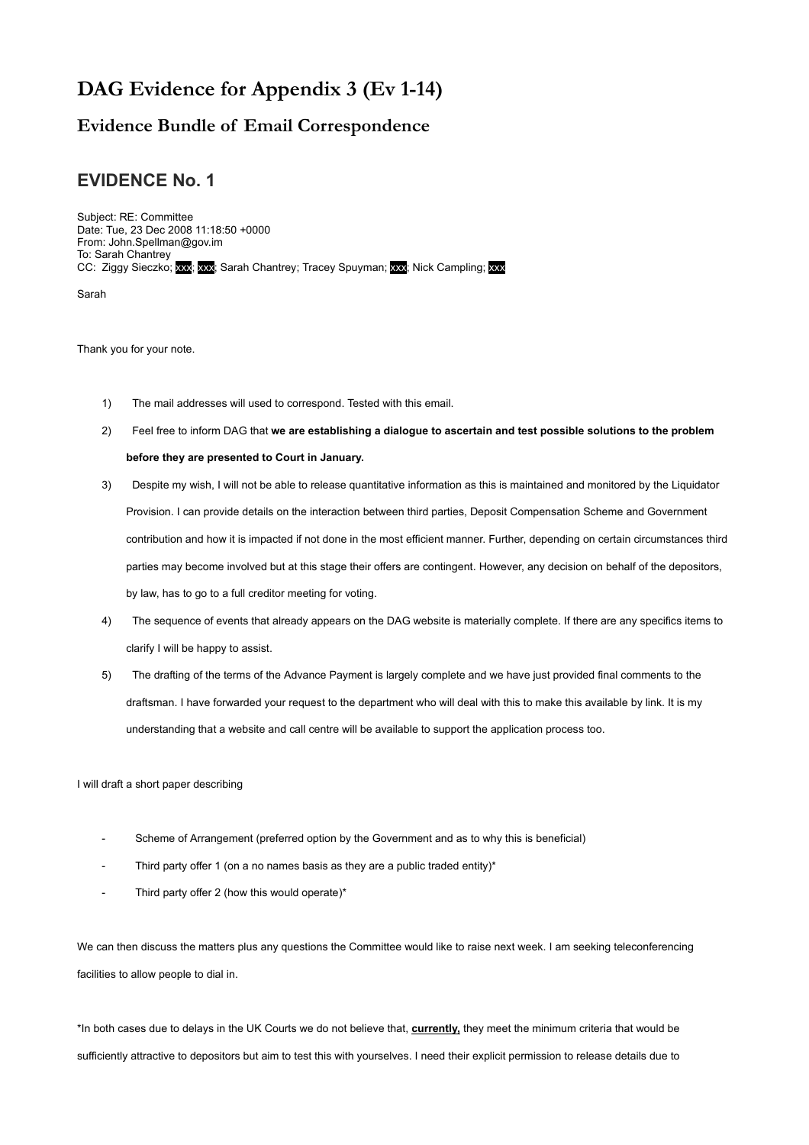# **DAG Evidence for Appendix 3 (Ev 1-14)**

### **Evidence Bundle of Email Correspondence**

# **EVIDENCE No. 1**

Subject: RE: Committee Date: Tue, 23 Dec 2008 11:18:50 +0000 From: John.Spellman@gov.im To: Sarah Chantrey CC: Ziggy Sieczko; xxx; xxx; Sarah Chantrey; Tracey Spuyman; xxx; Nick Campling; xxx

Sarah

Thank you for your note.

- 1) The mail addresses will used to correspond. Tested with this email.
- 2) Feel free to inform DAG that **we are establishing a dialogue to ascertain and test possible solutions to the problem before they are presented to Court in January.**
- 3) Despite my wish, I will not be able to release quantitative information as this is maintained and monitored by the Liquidator Provision. I can provide details on the interaction between third parties, Deposit Compensation Scheme and Government contribution and how it is impacted if not done in the most efficient manner. Further, depending on certain circumstances third parties may become involved but at this stage their offers are contingent. However, any decision on behalf of the depositors, by law, has to go to a full creditor meeting for voting.
- 4) The sequence of events that already appears on the DAG website is materially complete. If there are any specifics items to clarify I will be happy to assist.
- 5) The drafting of the terms of the Advance Payment is largely complete and we have just provided final comments to the draftsman. I have forwarded your request to the department who will deal with this to make this available by link. It is my understanding that a website and call centre will be available to support the application process too.

I will draft a short paper describing

- Scheme of Arrangement (preferred option by the Government and as to why this is beneficial)
- Third party offer 1 (on a no names basis as they are a public traded entity)\*
- Third party offer 2 (how this would operate)\*

We can then discuss the matters plus any questions the Committee would like to raise next week. I am seeking teleconferencing facilities to allow people to dial in.

\*In both cases due to delays in the UK Courts we do not believe that, **currently,** they meet the minimum criteria that would be sufficiently attractive to depositors but aim to test this with yourselves. I need their explicit permission to release details due to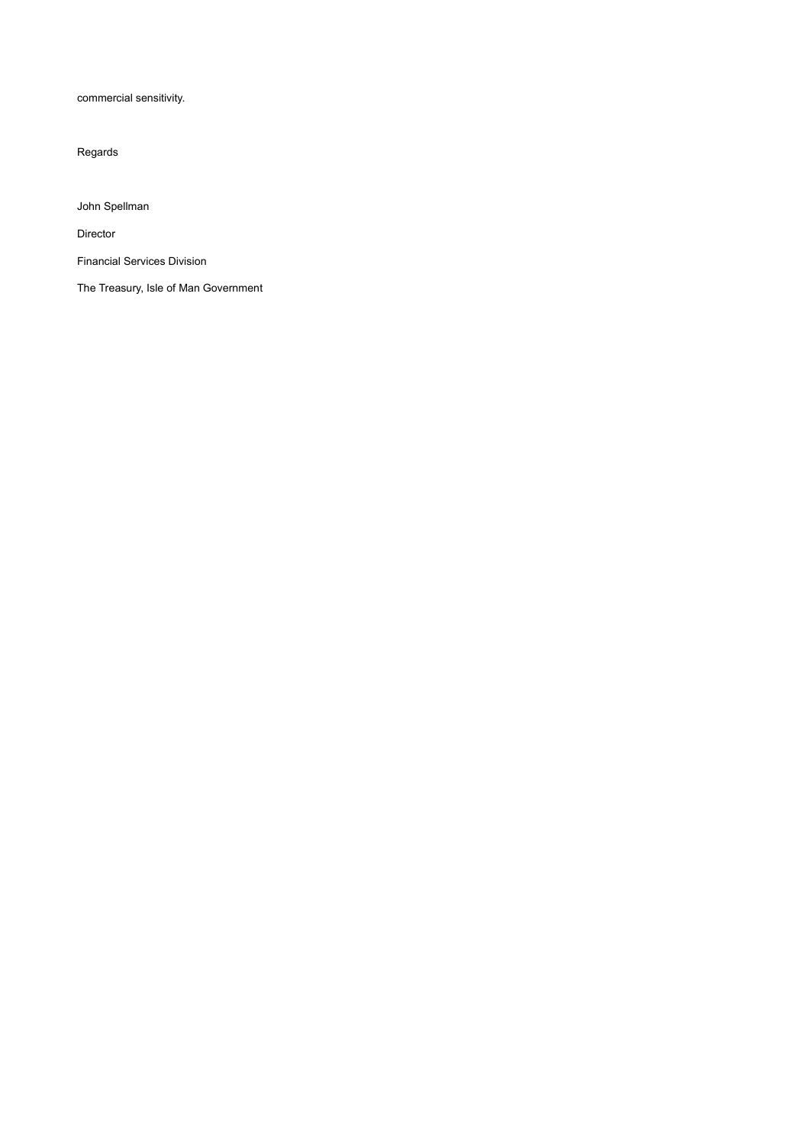commercial sensitivity.

Regards

John Spellman

Director

Financial Services Division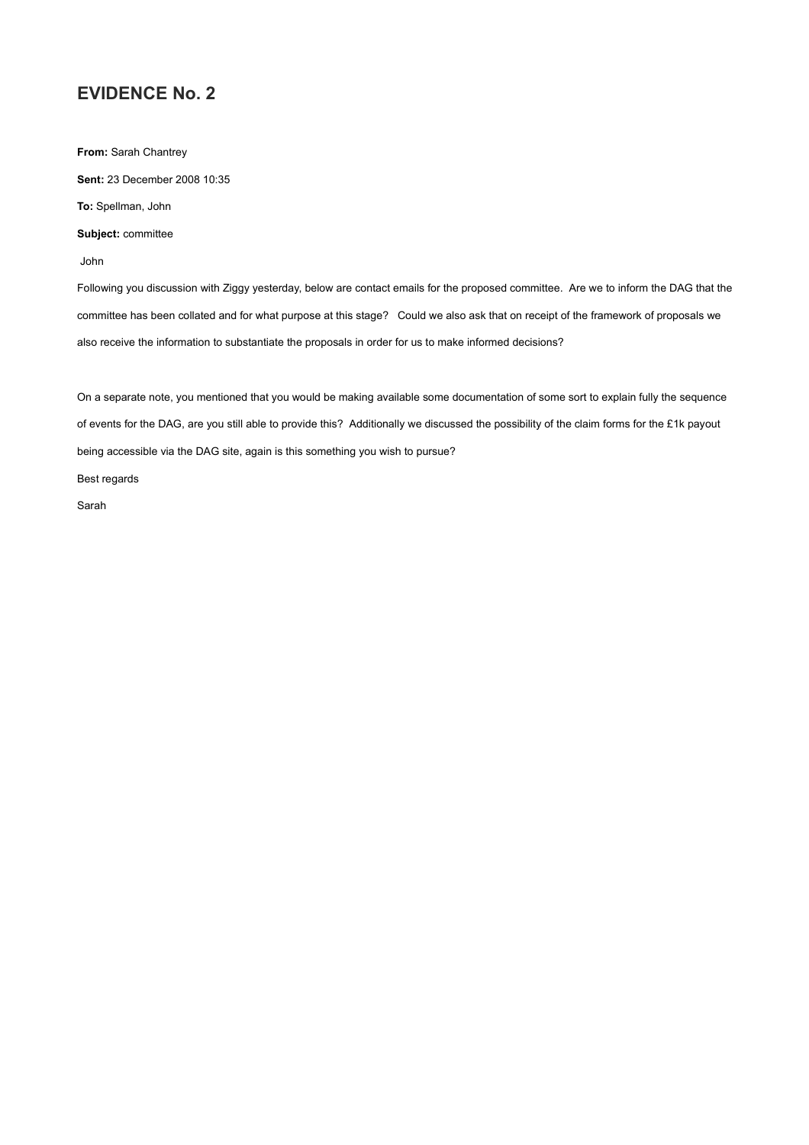**From:** Sarah Chantrey **Sent:** 23 December 2008 10:35 **To:** Spellman, John

**Subject:** committee

John

Following you discussion with Ziggy yesterday, below are contact emails for the proposed committee. Are we to inform the DAG that the committee has been collated and for what purpose at this stage? Could we also ask that on receipt of the framework of proposals we also receive the information to substantiate the proposals in order for us to make informed decisions?

On a separate note, you mentioned that you would be making available some documentation of some sort to explain fully the sequence of events for the DAG, are you still able to provide this? Additionally we discussed the possibility of the claim forms for the £1k payout being accessible via the DAG site, again is this something you wish to pursue?

Best regards

Sarah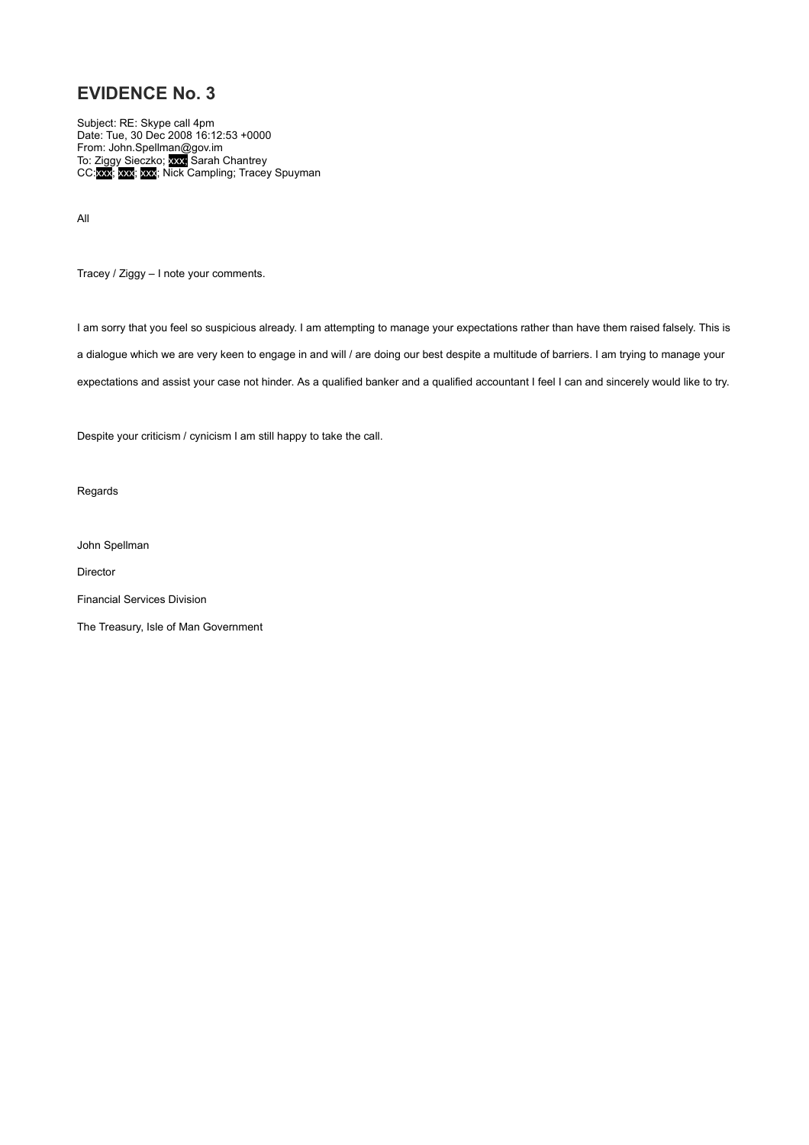Subject: RE: Skype call 4pm Date: Tue, 30 Dec 2008 16:12:53 +0000 From: John.Spellman@gov.im To: Ziggy Sieczko; xxx; Sarah Chantrey CC:xxx; xxx; xxx; Nick Campling; Tracey Spuyman

All

Tracey / Ziggy – I note your comments.

I am sorry that you feel so suspicious already. I am attempting to manage your expectations rather than have them raised falsely. This is a dialogue which we are very keen to engage in and will / are doing our best despite a multitude of barriers. I am trying to manage your expectations and assist your case not hinder. As a qualified banker and a qualified accountant I feel I can and sincerely would like to try.

Despite your criticism / cynicism I am still happy to take the call.

Regards

John Spellman

Director

Financial Services Division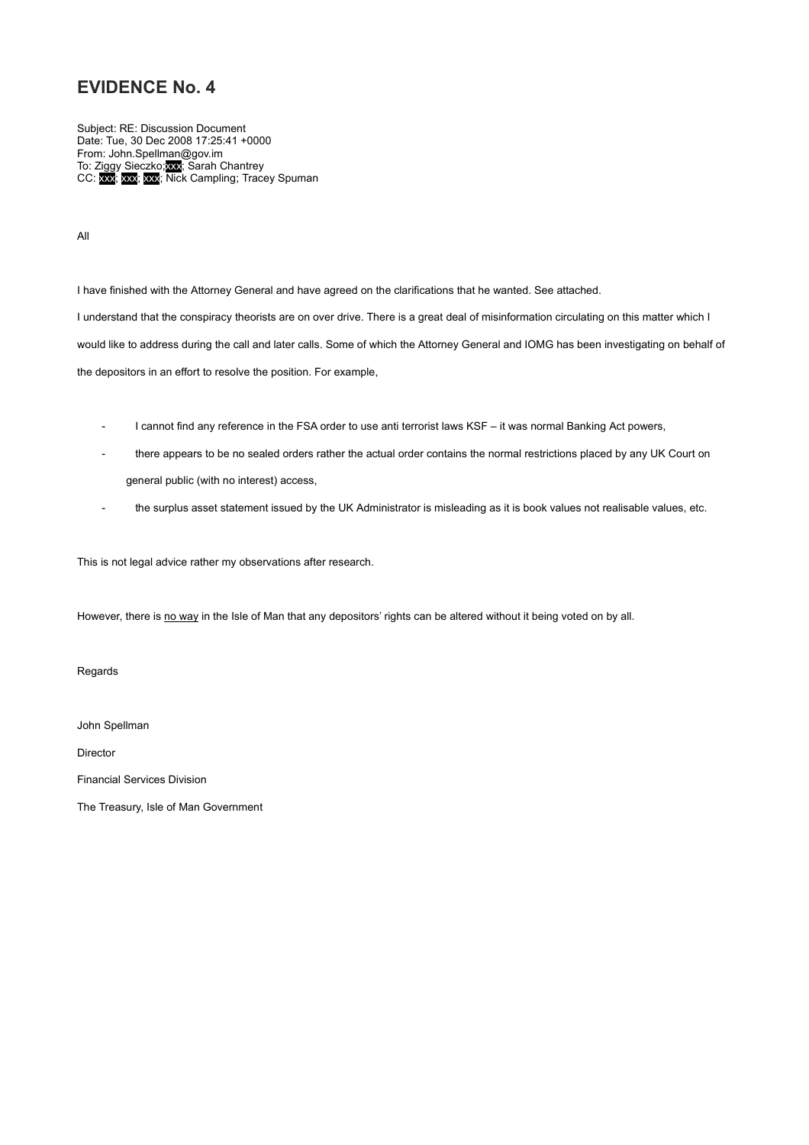Subject: RE: Discussion Document Date: Tue, 30 Dec 2008 17:25:41 +0000 From: John.Spellman@gov.im To: Ziggy Sieczko;xxx; Sarah Chantrey CC: xxx; xxx; xxx; Nick Campling; Tracey Spuman

All

I have finished with the Attorney General and have agreed on the clarifications that he wanted. See attached.

I understand that the conspiracy theorists are on over drive. There is a great deal of misinformation circulating on this matter which I would like to address during the call and later calls. Some of which the Attorney General and IOMG has been investigating on behalf of the depositors in an effort to resolve the position. For example,

- I cannot find any reference in the FSA order to use anti terrorist laws KSF it was normal Banking Act powers,
- there appears to be no sealed orders rather the actual order contains the normal restrictions placed by any UK Court on general public (with no interest) access,
- the surplus asset statement issued by the UK Administrator is misleading as it is book values not realisable values, etc.

This is not legal advice rather my observations after research.

However, there is no way in the Isle of Man that any depositors' rights can be altered without it being voted on by all.

Regards

John Spellman

Director

Financial Services Division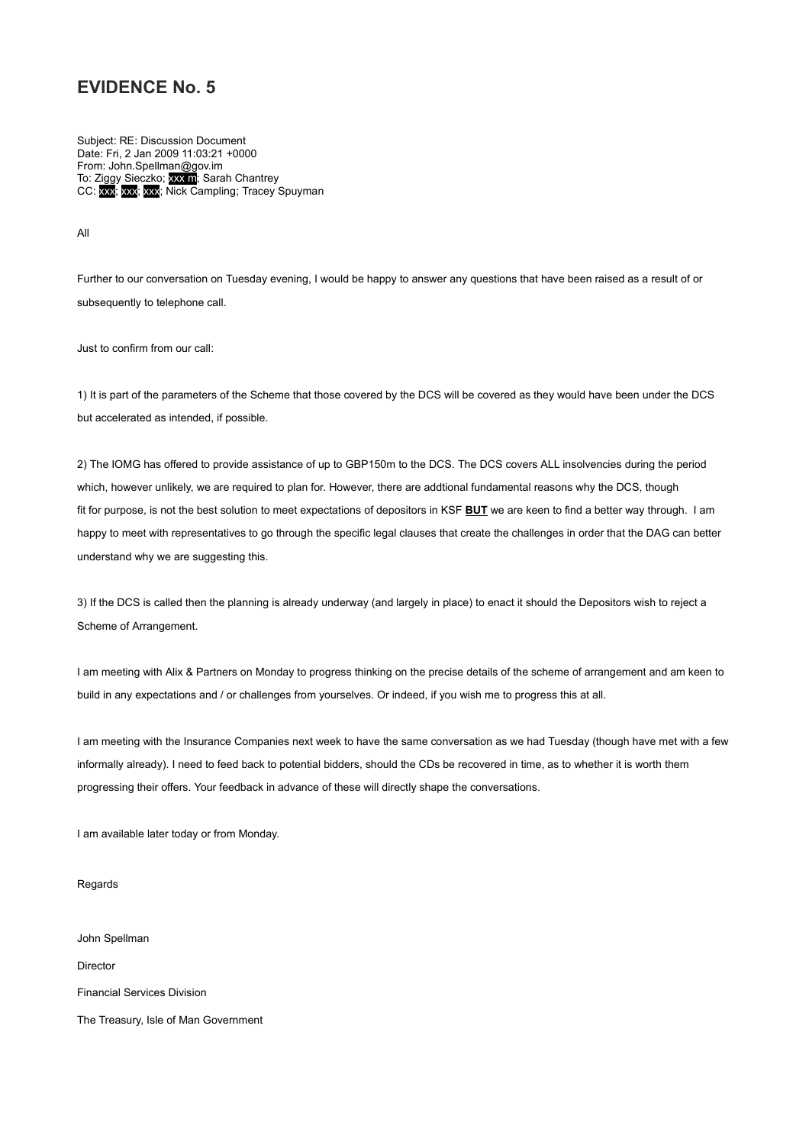Subject: RE: Discussion Document Date: Fri, 2 Jan 2009 11:03:21 +0000 From: John.Spellman@gov.im To: Ziggy Sieczko; xxx m; Sarah Chantrey CC: xxx; xxx; xxx; Nick Campling; Tracey Spuyman

All

Further to our conversation on Tuesday evening, I would be happy to answer any questions that have been raised as a result of or subsequently to telephone call.

Just to confirm from our call:

1) It is part of the parameters of the Scheme that those covered by the DCS will be covered as they would have been under the DCS but accelerated as intended, if possible.

2) The IOMG has offered to provide assistance of up to GBP150m to the DCS. The DCS covers ALL insolvencies during the period which, however unlikely, we are required to plan for. However, there are addtional fundamental reasons why the DCS, though fit for purpose, is not the best solution to meet expectations of depositors in KSF **BUT** we are keen to find a better way through. I am happy to meet with representatives to go through the specific legal clauses that create the challenges in order that the DAG can better understand why we are suggesting this.

3) If the DCS is called then the planning is already underway (and largely in place) to enact it should the Depositors wish to reject a Scheme of Arrangement.

I am meeting with Alix & Partners on Monday to progress thinking on the precise details of the scheme of arrangement and am keen to build in any expectations and / or challenges from yourselves. Or indeed, if you wish me to progress this at all.

I am meeting with the Insurance Companies next week to have the same conversation as we had Tuesday (though have met with a few informally already). I need to feed back to potential bidders, should the CDs be recovered in time, as to whether it is worth them progressing their offers. Your feedback in advance of these will directly shape the conversations.

I am available later today or from Monday.

Regards

John Spellman

Director

Financial Services Division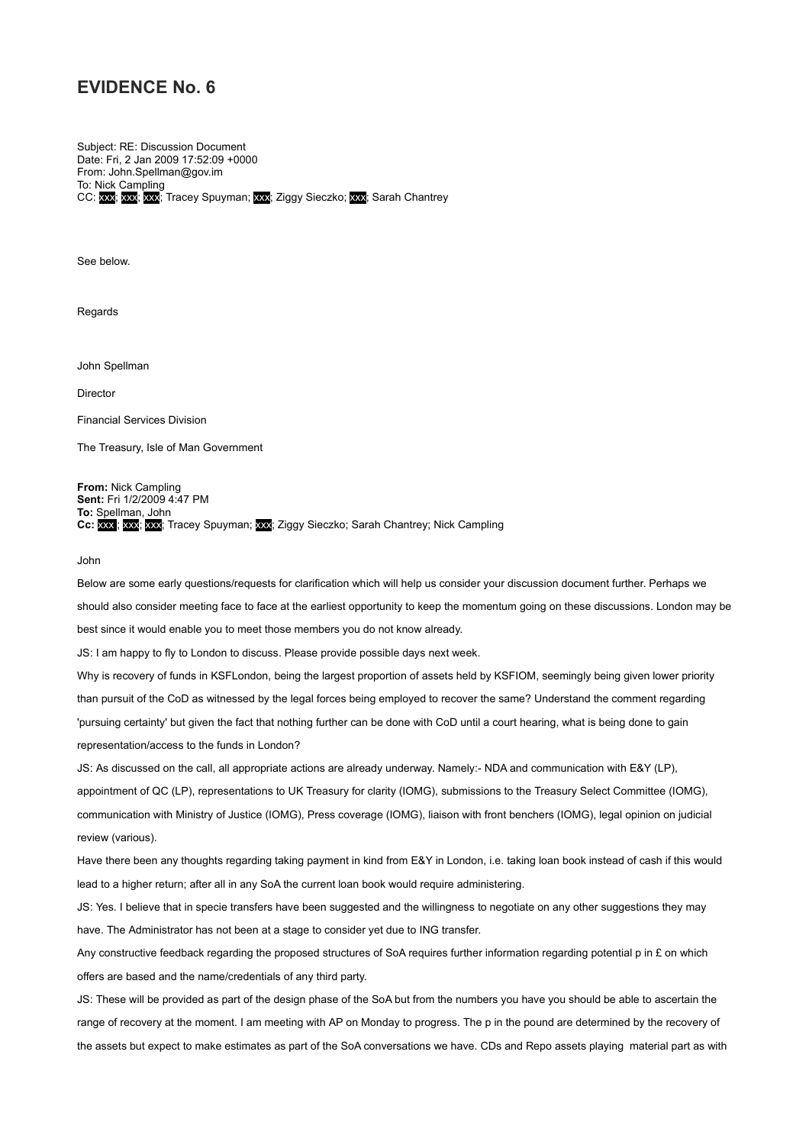Subject: RE: Discussion Document Date: Fri, 2 Jan 2009 17:52:09 +0000 From: John.Spellman@gov.im To: Nick Campling CC: xxx; xxx; xxx; Tracey Spuyman; xxx; Ziggy Sieczko; xxx; Sarah Chantrey

See below.

Regards

John Spellman

Director

Financial Services Division

The Treasury, Isle of Man Government

**From:** Nick Campling **Sent:** Fri 1/2/2009 4:47 PM **To:** Spellman, John

**Cc:** xxx ; xxx; xxx; Tracey Spuyman; xxx; Ziggy Sieczko; Sarah Chantrey; Nick Campling

#### John

Below are some early questions/requests for clarification which will help us consider your discussion document further. Perhaps we should also consider meeting face to face at the earliest opportunity to keep the momentum going on these discussions. London may be best since it would enable you to meet those members you do not know already.

JS: I am happy to fly to London to discuss. Please provide possible days next week.

Why is recovery of funds in KSFLondon, being the largest proportion of assets held by KSFIOM, seemingly being given lower priority than pursuit of the CoD as witnessed by the legal forces being employed to recover the same? Understand the comment regarding 'pursuing certainty' but given the fact that nothing further can be done with CoD until a court hearing, what is being done to gain representation/access to the funds in London?

JS: As discussed on the call, all appropriate actions are already underway. Namely:- NDA and communication with E&Y (LP), appointment of QC (LP), representations to UK Treasury for clarity (IOMG), submissions to the Treasury Select Committee (IOMG), communication with Ministry of Justice (IOMG), Press coverage (IOMG), liaison with front benchers (IOMG), legal opinion on judicial review (various).

Have there been any thoughts regarding taking payment in kind from E&Y in London, i.e. taking loan book instead of cash if this would lead to a higher return; after all in any SoA the current loan book would require administering.

JS: Yes. I believe that in specie transfers have been suggested and the willingness to negotiate on any other suggestions they may have. The Administrator has not been at a stage to consider yet due to ING transfer.

Any constructive feedback regarding the proposed structures of SoA requires further information regarding potential p in £ on which offers are based and the name/credentials of any third party.

JS: These will be provided as part of the design phase of the SoA but from the numbers you have you should be able to ascertain the range of recovery at the moment. I am meeting with AP on Monday to progress. The p in the pound are determined by the recovery of the assets but expect to make estimates as part of the SoA conversations we have. CDs and Repo assets playing material part as with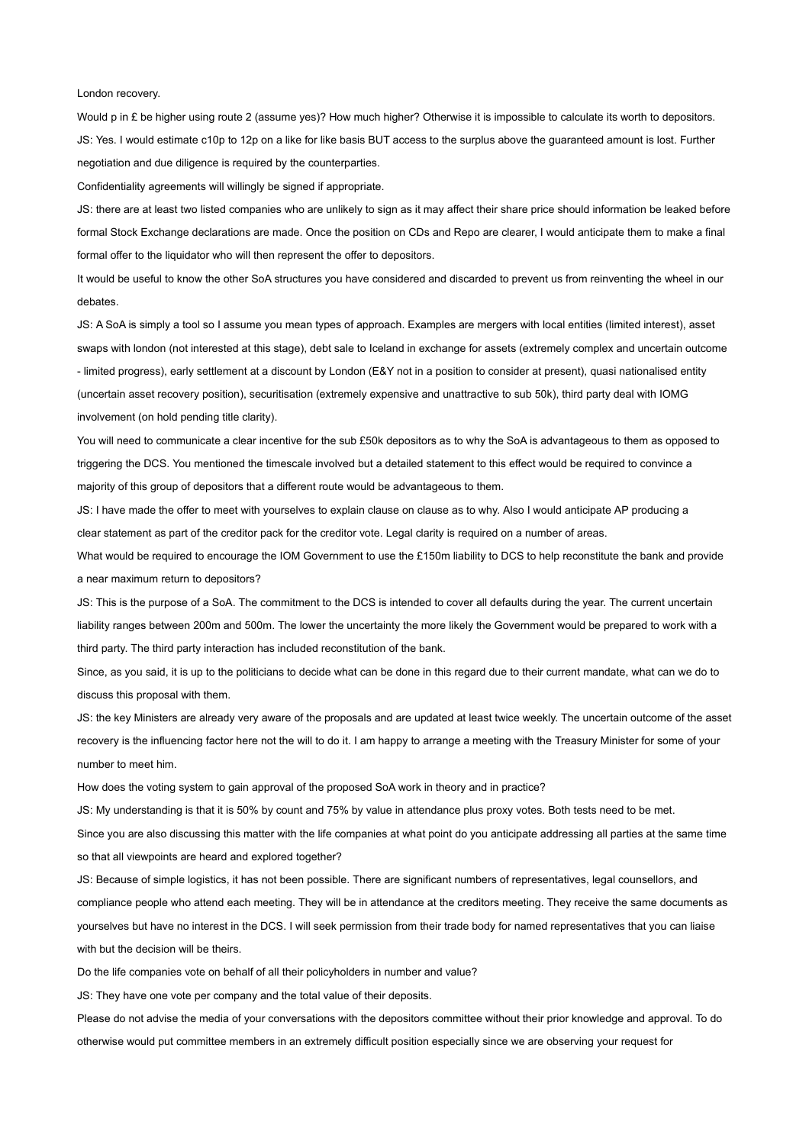#### London recovery.

Would p in £ be higher using route 2 (assume yes)? How much higher? Otherwise it is impossible to calculate its worth to depositors. JS: Yes. I would estimate c10p to 12p on a like for like basis BUT access to the surplus above the guaranteed amount is lost. Further negotiation and due diligence is required by the counterparties.

Confidentiality agreements will willingly be signed if appropriate.

JS: there are at least two listed companies who are unlikely to sign as it may affect their share price should information be leaked before formal Stock Exchange declarations are made. Once the position on CDs and Repo are clearer, I would anticipate them to make a final formal offer to the liquidator who will then represent the offer to depositors.

It would be useful to know the other SoA structures you have considered and discarded to prevent us from reinventing the wheel in our debates.

JS: A SoA is simply a tool so I assume you mean types of approach. Examples are mergers with local entities (limited interest), asset swaps with london (not interested at this stage), debt sale to Iceland in exchange for assets (extremely complex and uncertain outcome - limited progress), early settlement at a discount by London (E&Y not in a position to consider at present), quasi nationalised entity (uncertain asset recovery position), securitisation (extremely expensive and unattractive to sub 50k), third party deal with IOMG involvement (on hold pending title clarity).

You will need to communicate a clear incentive for the sub £50k depositors as to why the SoA is advantageous to them as opposed to triggering the DCS. You mentioned the timescale involved but a detailed statement to this effect would be required to convince a majority of this group of depositors that a different route would be advantageous to them.

JS: I have made the offer to meet with yourselves to explain clause on clause as to why. Also I would anticipate AP producing a clear statement as part of the creditor pack for the creditor vote. Legal clarity is required on a number of areas.

What would be required to encourage the IOM Government to use the £150m liability to DCS to help reconstitute the bank and provide a near maximum return to depositors?

JS: This is the purpose of a SoA. The commitment to the DCS is intended to cover all defaults during the year. The current uncertain liability ranges between 200m and 500m. The lower the uncertainty the more likely the Government would be prepared to work with a third party. The third party interaction has included reconstitution of the bank.

Since, as you said, it is up to the politicians to decide what can be done in this regard due to their current mandate, what can we do to discuss this proposal with them.

JS: the key Ministers are already very aware of the proposals and are updated at least twice weekly. The uncertain outcome of the asset recovery is the influencing factor here not the will to do it. I am happy to arrange a meeting with the Treasury Minister for some of your number to meet him.

How does the voting system to gain approval of the proposed SoA work in theory and in practice?

JS: My understanding is that it is 50% by count and 75% by value in attendance plus proxy votes. Both tests need to be met. Since you are also discussing this matter with the life companies at what point do you anticipate addressing all parties at the same time so that all viewpoints are heard and explored together?

JS: Because of simple logistics, it has not been possible. There are significant numbers of representatives, legal counsellors, and compliance people who attend each meeting. They will be in attendance at the creditors meeting. They receive the same documents as yourselves but have no interest in the DCS. I will seek permission from their trade body for named representatives that you can liaise with but the decision will be theirs.

Do the life companies vote on behalf of all their policyholders in number and value?

JS: They have one vote per company and the total value of their deposits.

Please do not advise the media of your conversations with the depositors committee without their prior knowledge and approval. To do otherwise would put committee members in an extremely difficult position especially since we are observing your request for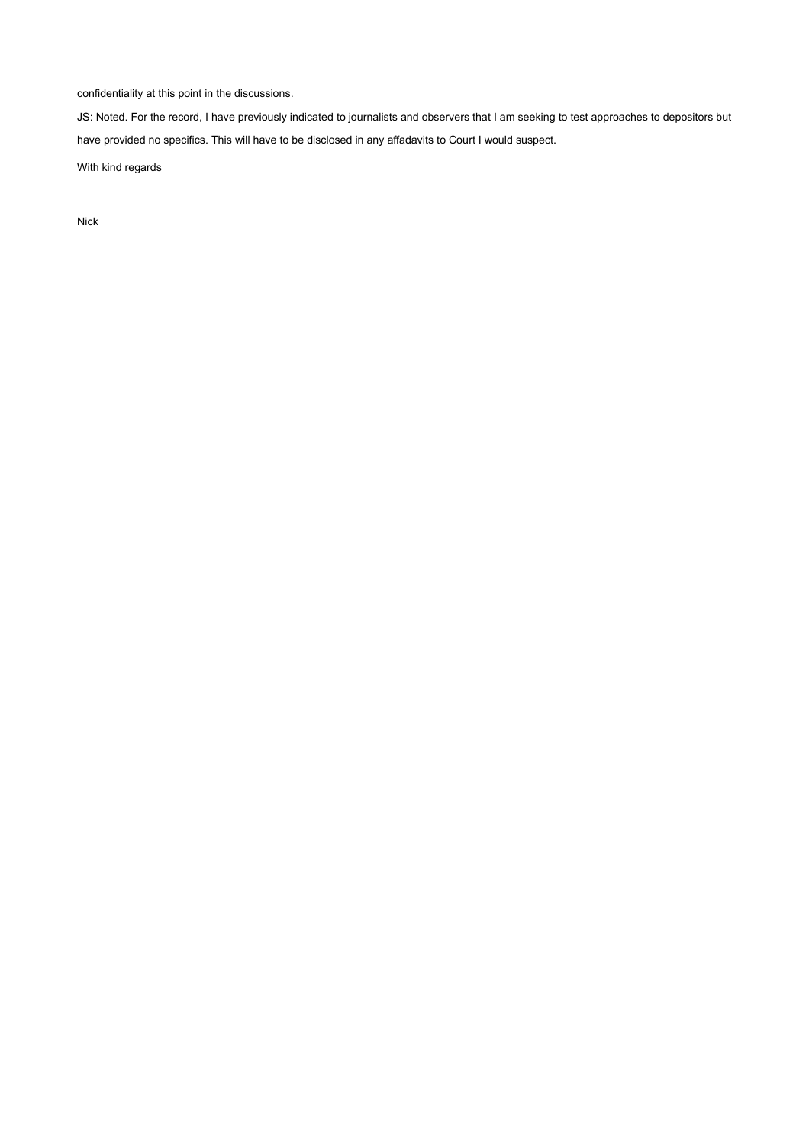confidentiality at this point in the discussions.

JS: Noted. For the record, I have previously indicated to journalists and observers that I am seeking to test approaches to depositors but have provided no specifics. This will have to be disclosed in any affadavits to Court I would suspect.

With kind regards

Nick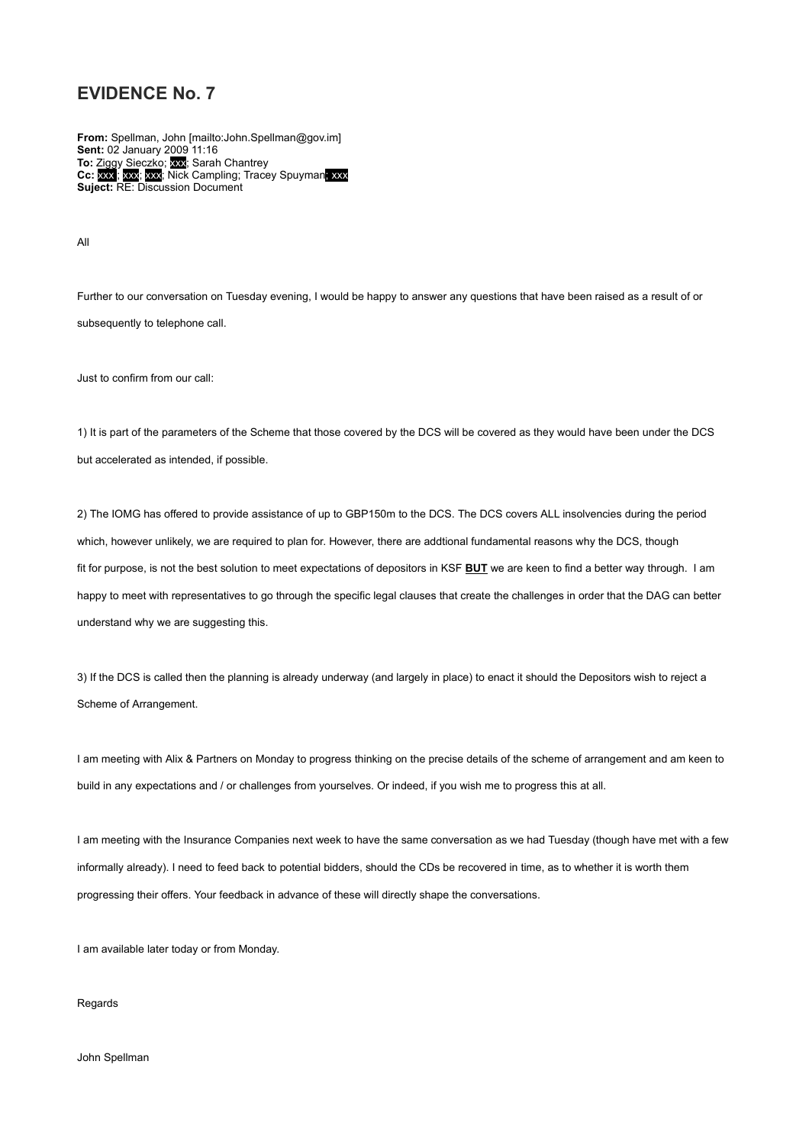**From:** Spellman, John [mailto:John.Spellman@gov.im] **Sent:** 02 January 2009 11:16 **To:** Ziggy Sieczko; xxx; Sarah Chantrey **Cc:** xxx ; xxx; xxx; Nick Campling; Tracey Spuyman; xxx **Suject:** RE: Discussion Document

All

Further to our conversation on Tuesday evening, I would be happy to answer any questions that have been raised as a result of or subsequently to telephone call.

Just to confirm from our call:

1) It is part of the parameters of the Scheme that those covered by the DCS will be covered as they would have been under the DCS but accelerated as intended, if possible.

2) The IOMG has offered to provide assistance of up to GBP150m to the DCS. The DCS covers ALL insolvencies during the period which, however unlikely, we are required to plan for. However, there are addtional fundamental reasons why the DCS, though fit for purpose, is not the best solution to meet expectations of depositors in KSF **BUT** we are keen to find a better way through. I am happy to meet with representatives to go through the specific legal clauses that create the challenges in order that the DAG can better understand why we are suggesting this.

3) If the DCS is called then the planning is already underway (and largely in place) to enact it should the Depositors wish to reject a Scheme of Arrangement.

I am meeting with Alix & Partners on Monday to progress thinking on the precise details of the scheme of arrangement and am keen to build in any expectations and / or challenges from yourselves. Or indeed, if you wish me to progress this at all.

I am meeting with the Insurance Companies next week to have the same conversation as we had Tuesday (though have met with a few informally already). I need to feed back to potential bidders, should the CDs be recovered in time, as to whether it is worth them progressing their offers. Your feedback in advance of these will directly shape the conversations.

I am available later today or from Monday.

Regards

John Spellman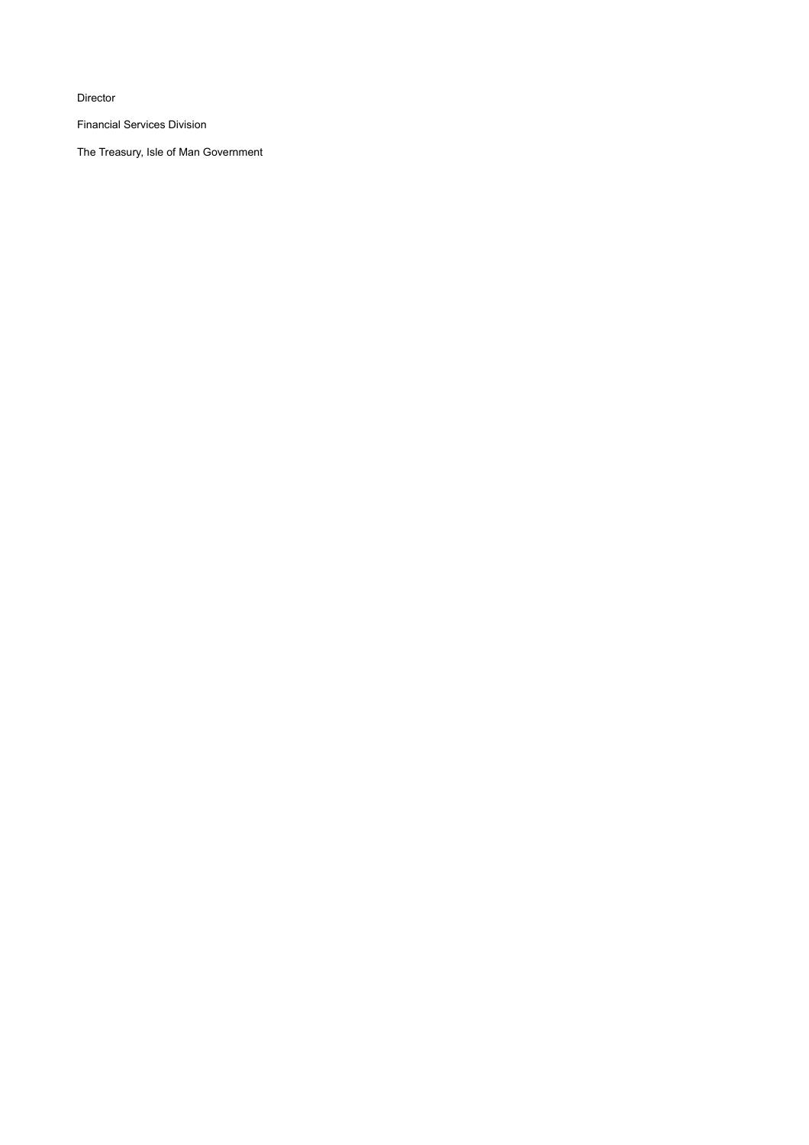Director

Financial Services Division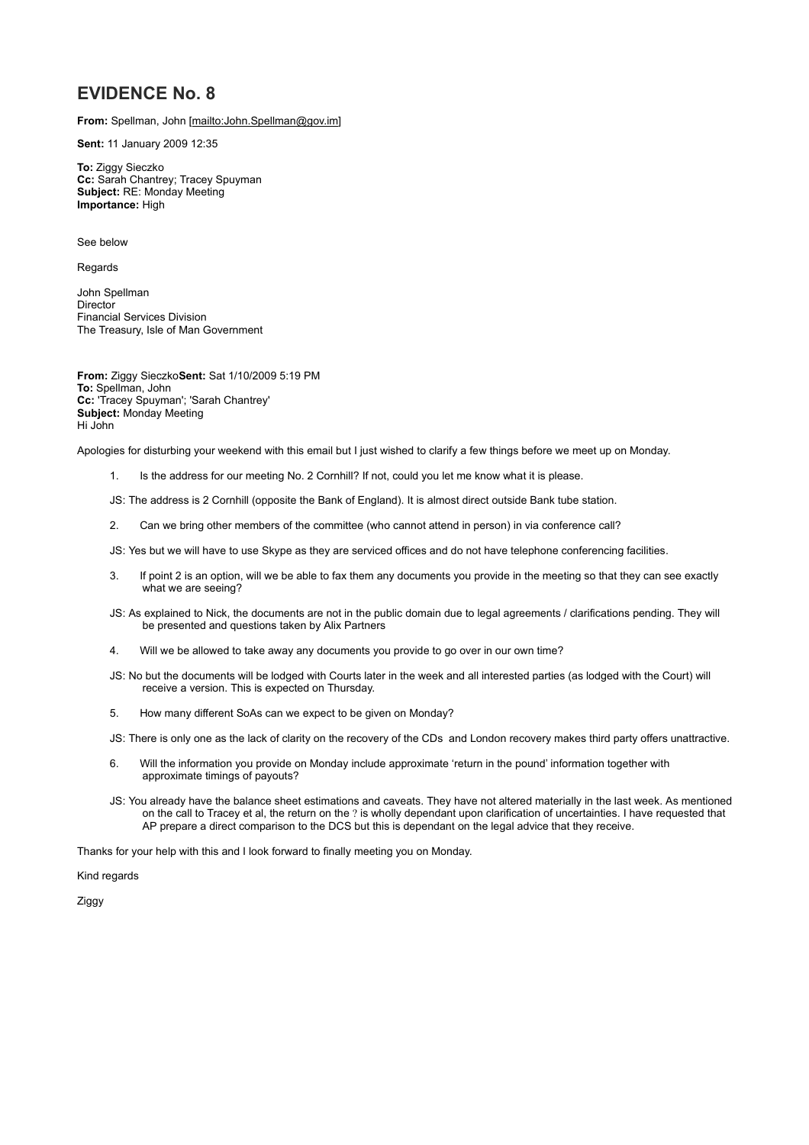**From:** Spellman, John [mailto:John.Spellman@gov.im]

**Sent:** 11 January 2009 12:35

**To:** Ziggy Sieczko **Cc:** Sarah Chantrey; Tracey Spuyman **Subject:** RE: Monday Meeting **Importance:** High

See below

Regards

John Spellman **Director** Financial Services Division The Treasury, Isle of Man Government

**From:** Ziggy Sieczko**Sent:** Sat 1/10/2009 5:19 PM **To:** Spellman, John **Cc:** 'Tracey Spuyman'; 'Sarah Chantrey' **Subject:** Monday Meeting Hi John

Apologies for disturbing your weekend with this email but I just wished to clarify a few things before we meet up on Monday.

1. Is the address for our meeting No. 2 Cornhill? If not, could you let me know what it is please.

JS: The address is 2 Cornhill (opposite the Bank of England). It is almost direct outside Bank tube station.

2. Can we bring other members of the committee (who cannot attend in person) in via conference call?

JS: Yes but we will have to use Skype as they are serviced offices and do not have telephone conferencing facilities.

- 3. If point 2 is an option, will we be able to fax them any documents you provide in the meeting so that they can see exactly what we are seeing?
- JS: As explained to Nick, the documents are not in the public domain due to legal agreements / clarifications pending. They will be presented and questions taken by Alix Partners
- 4. Will we be allowed to take away any documents you provide to go over in our own time?
- JS: No but the documents will be lodged with Courts later in the week and all interested parties (as lodged with the Court) will receive a version. This is expected on Thursday.
- 5. How many different SoAs can we expect to be given on Monday?

JS: There is only one as the lack of clarity on the recovery of the CDs and London recovery makes third party offers unattractive.

- 6. Will the information you provide on Monday include approximate 'return in the pound' information together with approximate timings of payouts?
- JS: You already have the balance sheet estimations and caveats. They have not altered materially in the last week. As mentioned on the call to Tracey et al, the return on the ? is wholly dependant upon clarification of uncertainties. I have requested that AP prepare a direct comparison to the DCS but this is dependant on the legal advice that they receive.

Thanks for your help with this and I look forward to finally meeting you on Monday.

Kind regards

Ziggy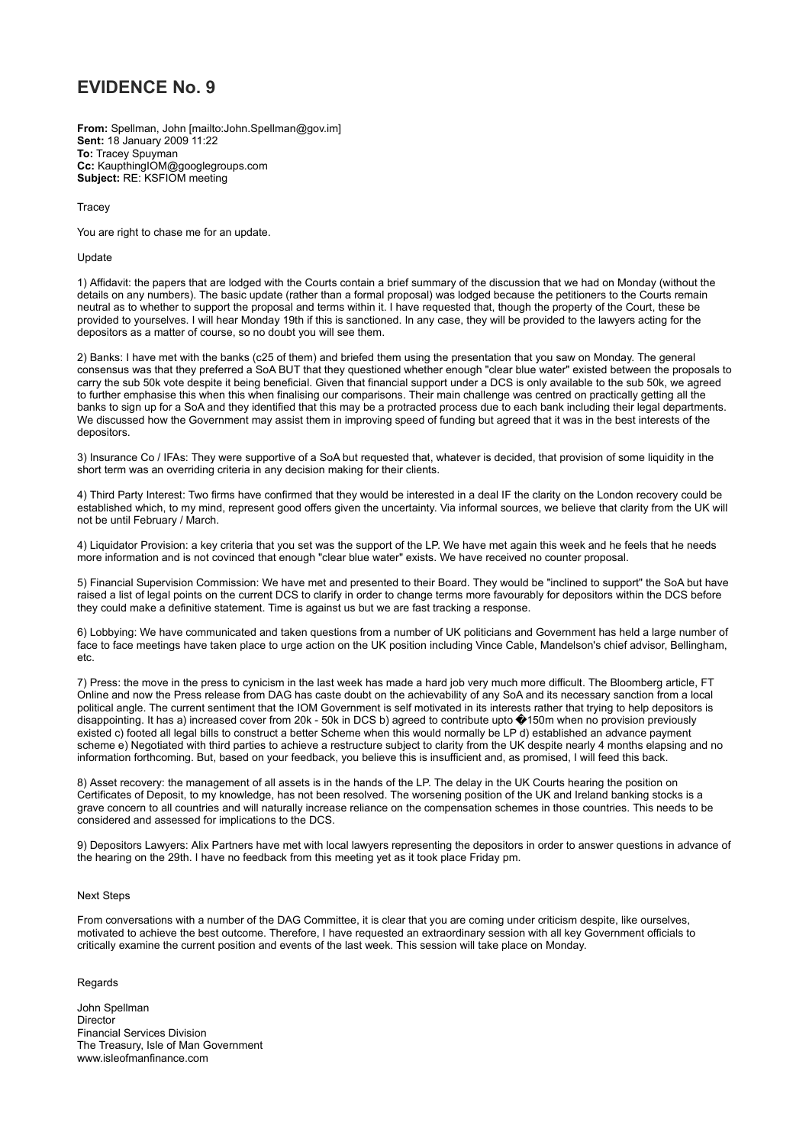**From:** Spellman, John [mailto:John.Spellman@gov.im] **Sent:** 18 January 2009 11:22 **To:** Tracey Spuyman **Cc:** KaupthingIOM@googlegroups.com **Subject:** RE: KSFIOM meeting

**Tracey** 

You are right to chase me for an update.

#### Update

1) Affidavit: the papers that are lodged with the Courts contain a brief summary of the discussion that we had on Monday (without the details on any numbers). The basic update (rather than a formal proposal) was lodged because the petitioners to the Courts remain neutral as to whether to support the proposal and terms within it. I have requested that, though the property of the Court, these be provided to yourselves. I will hear Monday 19th if this is sanctioned. In any case, they will be provided to the lawyers acting for the depositors as a matter of course, so no doubt you will see them.

2) Banks: I have met with the banks (c25 of them) and briefed them using the presentation that you saw on Monday. The general consensus was that they preferred a SoA BUT that they questioned whether enough "clear blue water" existed between the proposals to carry the sub 50k vote despite it being beneficial. Given that financial support under a DCS is only available to the sub 50k, we agreed to further emphasise this when this when finalising our comparisons. Their main challenge was centred on practically getting all the banks to sign up for a SoA and they identified that this may be a protracted process due to each bank including their legal departments. We discussed how the Government may assist them in improving speed of funding but agreed that it was in the best interests of the depositors.

3) Insurance Co / IFAs: They were supportive of a SoA but requested that, whatever is decided, that provision of some liquidity in the short term was an overriding criteria in any decision making for their clients.

4) Third Party Interest: Two firms have confirmed that they would be interested in a deal IF the clarity on the London recovery could be established which, to my mind, represent good offers given the uncertainty. Via informal sources, we believe that clarity from the UK will not be until February / March.

4) Liquidator Provision: a key criteria that you set was the support of the LP. We have met again this week and he feels that he needs more information and is not covinced that enough "clear blue water" exists. We have received no counter proposal.

5) Financial Supervision Commission: We have met and presented to their Board. They would be "inclined to support" the SoA but have raised a list of legal points on the current DCS to clarify in order to change terms more favourably for depositors within the DCS before they could make a definitive statement. Time is against us but we are fast tracking a response.

6) Lobbying: We have communicated and taken questions from a number of UK politicians and Government has held a large number of face to face meetings have taken place to urge action on the UK position including Vince Cable, Mandelson's chief advisor, Bellingham, etc.

7) Press: the move in the press to cynicism in the last week has made a hard job very much more difficult. The Bloomberg article, FT Online and now the Press release from DAG has caste doubt on the achievability of any SoA and its necessary sanction from a local political angle. The current sentiment that the IOM Government is self motivated in its interests rather that trying to help depositors is disappointing. It has a) increased cover from 20k - 50k in DCS b) agreed to contribute upto �150m when no provision previously existed c) footed all legal bills to construct a better Scheme when this would normally be LP d) established an advance payment scheme e) Negotiated with third parties to achieve a restructure subject to clarity from the UK despite nearly 4 months elapsing and no information forthcoming. But, based on your feedback, you believe this is insufficient and, as promised, I will feed this back.

8) Asset recovery: the management of all assets is in the hands of the LP. The delay in the UK Courts hearing the position on Certificates of Deposit, to my knowledge, has not been resolved. The worsening position of the UK and Ireland banking stocks is a grave concern to all countries and will naturally increase reliance on the compensation schemes in those countries. This needs to be considered and assessed for implications to the DCS.

9) Depositors Lawyers: Alix Partners have met with local lawyers representing the depositors in order to answer questions in advance of the hearing on the 29th. I have no feedback from this meeting yet as it took place Friday pm.

#### Next Steps

From conversations with a number of the DAG Committee, it is clear that you are coming under criticism despite, like ourselves, motivated to achieve the best outcome. Therefore, I have requested an extraordinary session with all key Government officials to critically examine the current position and events of the last week. This session will take place on Monday.

#### Regards

John Spellman **Director** Financial Services Division The Treasury, Isle of Man Government www.isleofmanfinance.com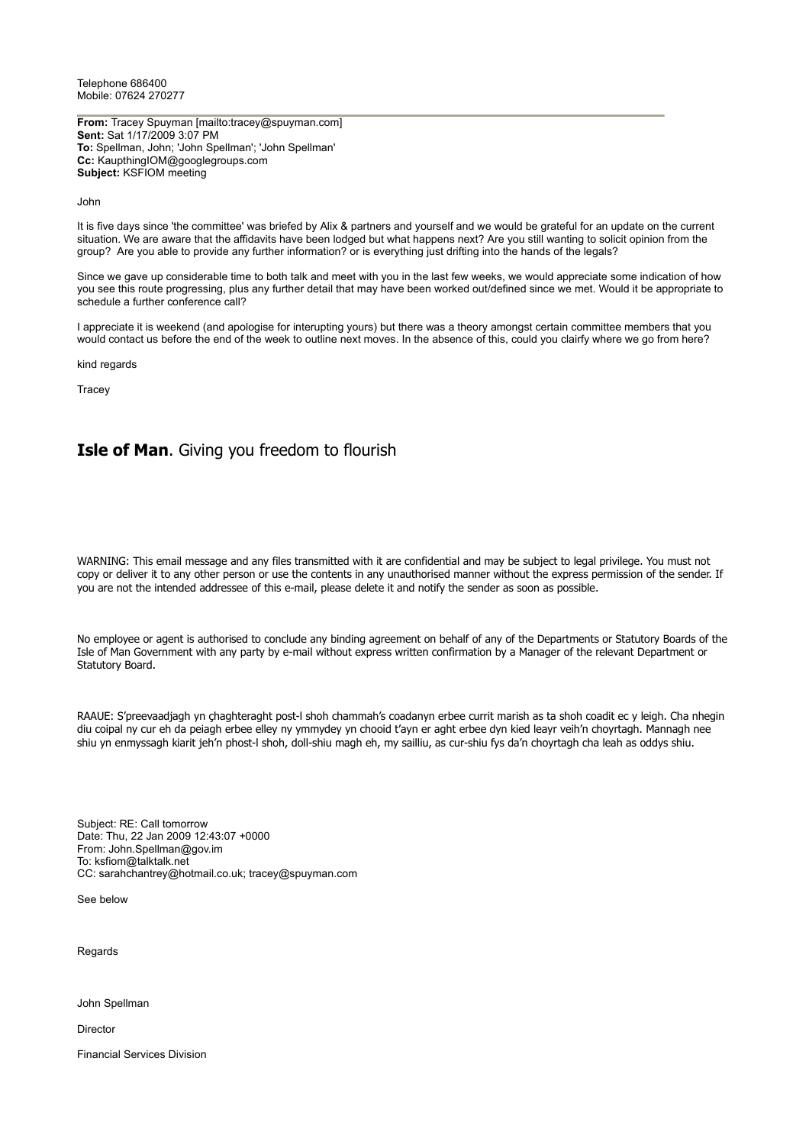Telephone 686400 Mobile: 07624 270277

**From:** Tracey Spuyman [mailto:tracey@spuyman.com] **Sent:** Sat 1/17/2009 3:07 PM **To:** Spellman, John; 'John Spellman'; 'John Spellman' **Cc:** KaupthingIOM@googlegroups.com **Subject:** KSFIOM meeting

John

It is five days since 'the committee' was briefed by Alix & partners and yourself and we would be grateful for an update on the current situation. We are aware that the affidavits have been lodged but what happens next? Are you still wanting to solicit opinion from the group? Are you able to provide any further information? or is everything just drifting into the hands of the legals?

Since we gave up considerable time to both talk and meet with you in the last few weeks, we would appreciate some indication of how you see this route progressing, plus any further detail that may have been worked out/defined since we met. Would it be appropriate to schedule a further conference call?

I appreciate it is weekend (and apologise for interupting yours) but there was a theory amongst certain committee members that you would contact us before the end of the week to outline next moves. In the absence of this, could you clairfy where we go from here?

kind regards

**Tracey** 

# **Isle of Man**. Giving you freedom to flourish

WARNING: This email message and any files transmitted with it are confidential and may be subject to legal privilege. You must not copy or deliver it to any other person or use the contents in any unauthorised manner without the express permission of the sender. If you are not the intended addressee of this e-mail, please delete it and notify the sender as soon as possible.

No employee or agent is authorised to conclude any binding agreement on behalf of any of the Departments or Statutory Boards of the Isle of Man Government with any party by e-mail without express written confirmation by a Manager of the relevant Department or Statutory Board.

RAAUE: S'preevaadjagh yn çhaghteraght post-l shoh chammah's coadanyn erbee currit marish as ta shoh coadit ec y leigh. Cha nhegin diu coipal ny cur eh da peiagh erbee elley ny ymmydey yn chooid t'ayn er aght erbee dyn kied leayr veih'n choyrtagh. Mannagh nee shiu yn enmyssagh kiarit jeh'n phost-l shoh, doll-shiu magh eh, my sailliu, as cur-shiu fys da'n choyrtagh cha leah as oddys shiu.

Subject: RE: Call tomorrow Date: Thu, 22 Jan 2009 12:43:07 +0000 From: John.Spellman@gov.im To: ksfiom@talktalk.net CC: sarahchantrey@hotmail.co.uk; tracey@spuyman.com

See below

Regards

John Spellman

Director

Financial Services Division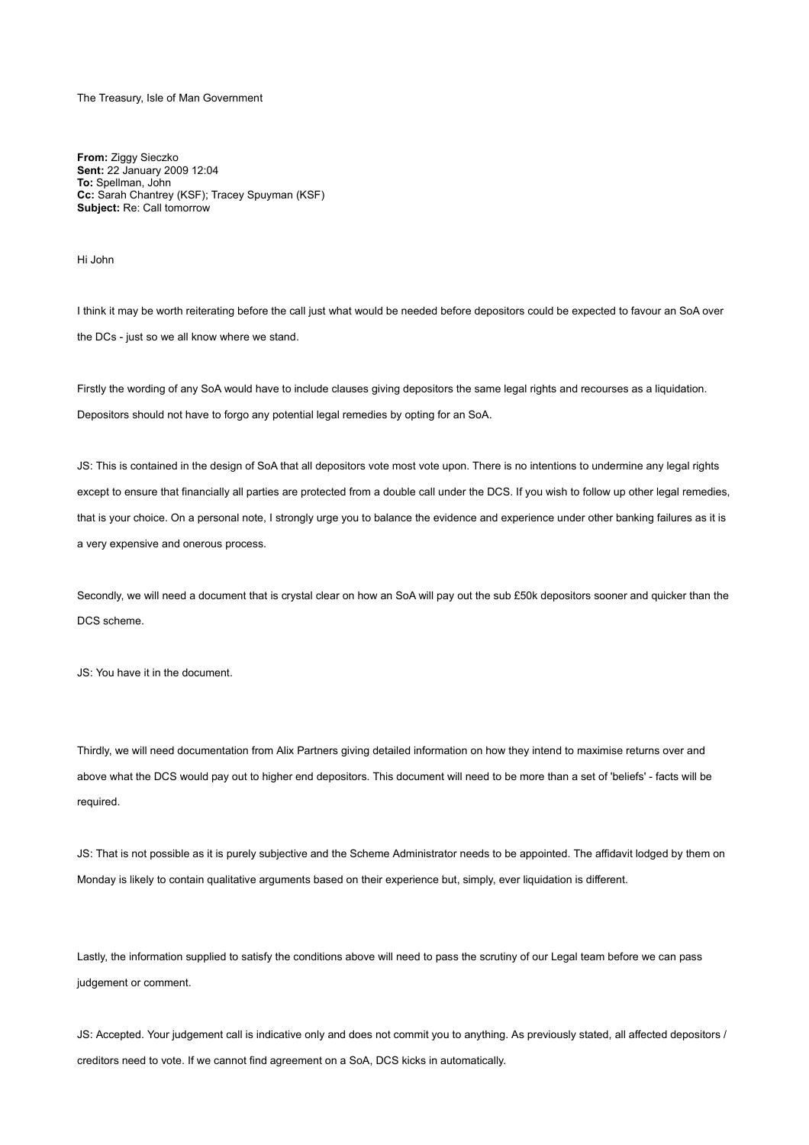The Treasury, Isle of Man Government

**From:** Ziggy Sieczko **Sent:** 22 January 2009 12:04 **To:** Spellman, John **Cc:** Sarah Chantrey (KSF); Tracey Spuyman (KSF) **Subject:** Re: Call tomorrow

Hi John

I think it may be worth reiterating before the call just what would be needed before depositors could be expected to favour an SoA over the DCs - just so we all know where we stand.

Firstly the wording of any SoA would have to include clauses giving depositors the same legal rights and recourses as a liquidation. Depositors should not have to forgo any potential legal remedies by opting for an SoA.

JS: This is contained in the design of SoA that all depositors vote most vote upon. There is no intentions to undermine any legal rights except to ensure that financially all parties are protected from a double call under the DCS. If you wish to follow up other legal remedies, that is your choice. On a personal note, I strongly urge you to balance the evidence and experience under other banking failures as it is a very expensive and onerous process.

Secondly, we will need a document that is crystal clear on how an SoA will pay out the sub £50k depositors sooner and quicker than the DCS scheme.

JS: You have it in the document.

Thirdly, we will need documentation from Alix Partners giving detailed information on how they intend to maximise returns over and above what the DCS would pay out to higher end depositors. This document will need to be more than a set of 'beliefs' - facts will be required.

JS: That is not possible as it is purely subjective and the Scheme Administrator needs to be appointed. The affidavit lodged by them on Monday is likely to contain qualitative arguments based on their experience but, simply, ever liquidation is different.

Lastly, the information supplied to satisfy the conditions above will need to pass the scrutiny of our Legal team before we can pass judgement or comment.

JS: Accepted. Your judgement call is indicative only and does not commit you to anything. As previously stated, all affected depositors / creditors need to vote. If we cannot find agreement on a SoA, DCS kicks in automatically.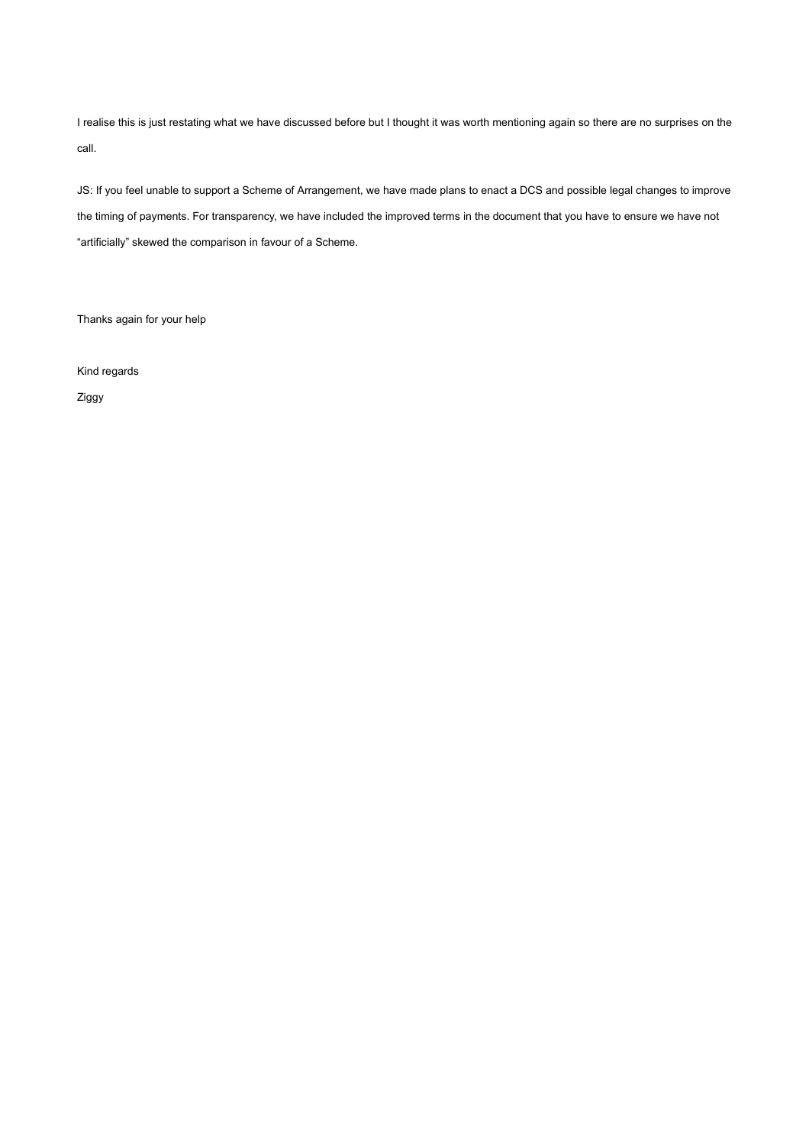I realise this is just restating what we have discussed before but I thought it was worth mentioning again so there are no surprises on the call.

JS: If you feel unable to support a Scheme of Arrangement, we have made plans to enact a DCS and possible legal changes to improve the timing of payments. For transparency, we have included the improved terms in the document that you have to ensure we have not "artificially" skewed the comparison in favour of a Scheme.

Thanks again for your help

Kind regards

Ziggy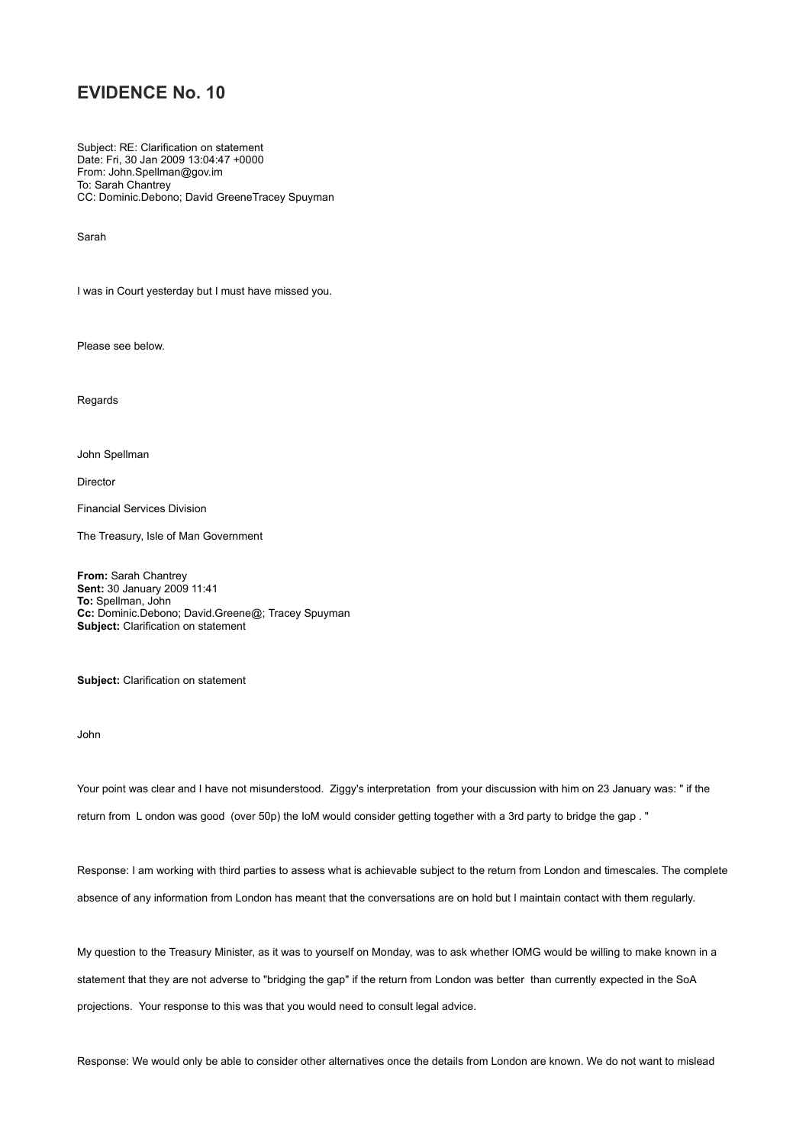Subject: RE: Clarification on statement Date: Fri, 30 Jan 2009 13:04:47 +0000 From: John.Spellman@gov.im To: Sarah Chantrey CC: Dominic.Debono; David GreeneTracey Spuyman

Sarah

I was in Court yesterday but I must have missed you.

Please see below.

Regards

John Spellman

Director

Financial Services Division

The Treasury, Isle of Man Government

**From:** Sarah Chantrey **Sent:** 30 January 2009 11:41 **To:** Spellman, John **Cc:** Dominic.Debono; David.Greene@; Tracey Spuyman **Subject:** Clarification on statement

**Subject:** Clarification on statement

John

Your point was clear and I have not misunderstood. Ziggy's interpretation from your discussion with him on 23 January was: " if the return from L ondon was good (over 50p) the IoM would consider getting together with a 3rd party to bridge the gap . "

Response: I am working with third parties to assess what is achievable subject to the return from London and timescales. The complete absence of any information from London has meant that the conversations are on hold but I maintain contact with them regularly.

My question to the Treasury Minister, as it was to yourself on Monday, was to ask whether IOMG would be willing to make known in a statement that they are not adverse to "bridging the gap" if the return from London was better than currently expected in the SoA projections. Your response to this was that you would need to consult legal advice.

Response: We would only be able to consider other alternatives once the details from London are known. We do not want to mislead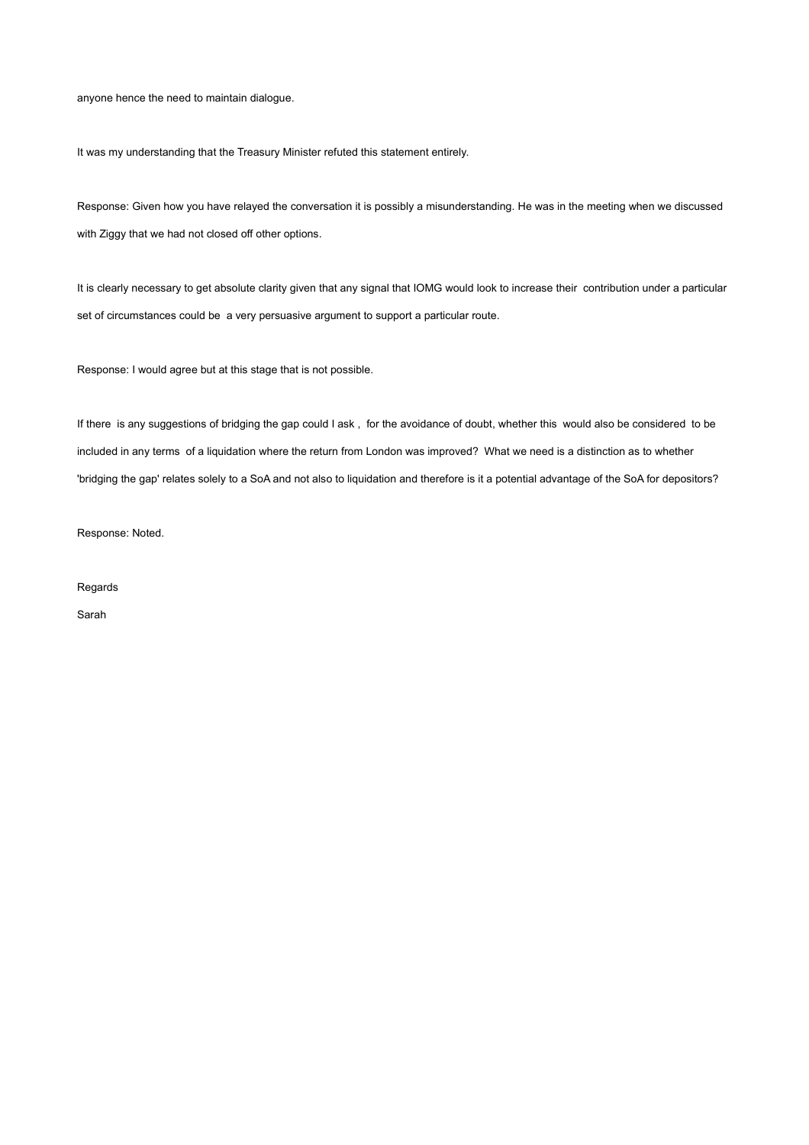anyone hence the need to maintain dialogue.

It was my understanding that the Treasury Minister refuted this statement entirely.

Response: Given how you have relayed the conversation it is possibly a misunderstanding. He was in the meeting when we discussed with Ziggy that we had not closed off other options.

It is clearly necessary to get absolute clarity given that any signal that IOMG would look to increase their contribution under a particular set of circumstances could be a very persuasive argument to support a particular route.

Response: I would agree but at this stage that is not possible.

If there is any suggestions of bridging the gap could I ask , for the avoidance of doubt, whether this would also be considered to be included in any terms of a liquidation where the return from London was improved? What we need is a distinction as to whether 'bridging the gap' relates solely to a SoA and not also to liquidation and therefore is it a potential advantage of the SoA for depositors?

Response: Noted.

Regards

Sarah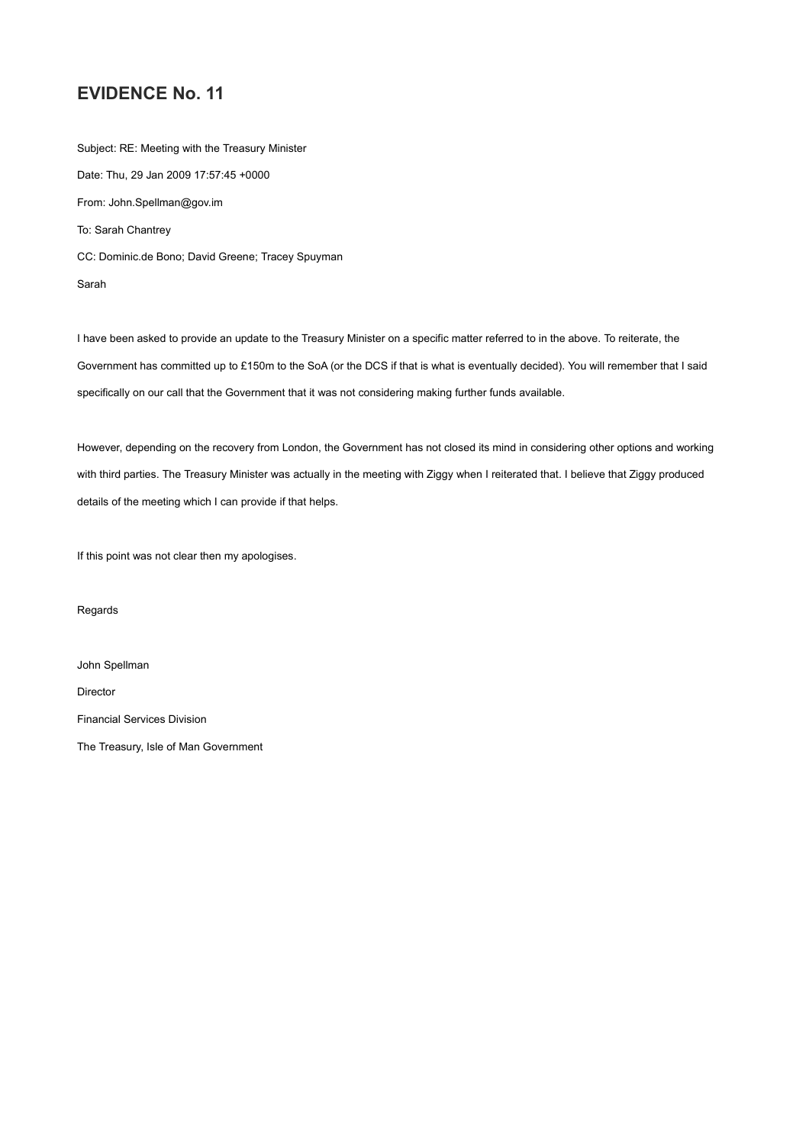Subject: RE: Meeting with the Treasury Minister Date: Thu, 29 Jan 2009 17:57:45 +0000 From: John.Spellman@gov.im To: Sarah Chantrey CC: Dominic.de Bono; David Greene; Tracey Spuyman Sarah

I have been asked to provide an update to the Treasury Minister on a specific matter referred to in the above. To reiterate, the Government has committed up to £150m to the SoA (or the DCS if that is what is eventually decided). You will remember that I said specifically on our call that the Government that it was not considering making further funds available.

However, depending on the recovery from London, the Government has not closed its mind in considering other options and working with third parties. The Treasury Minister was actually in the meeting with Ziggy when I reiterated that. I believe that Ziggy produced details of the meeting which I can provide if that helps.

If this point was not clear then my apologises.

Regards

John Spellman Director Financial Services Division The Treasury, Isle of Man Government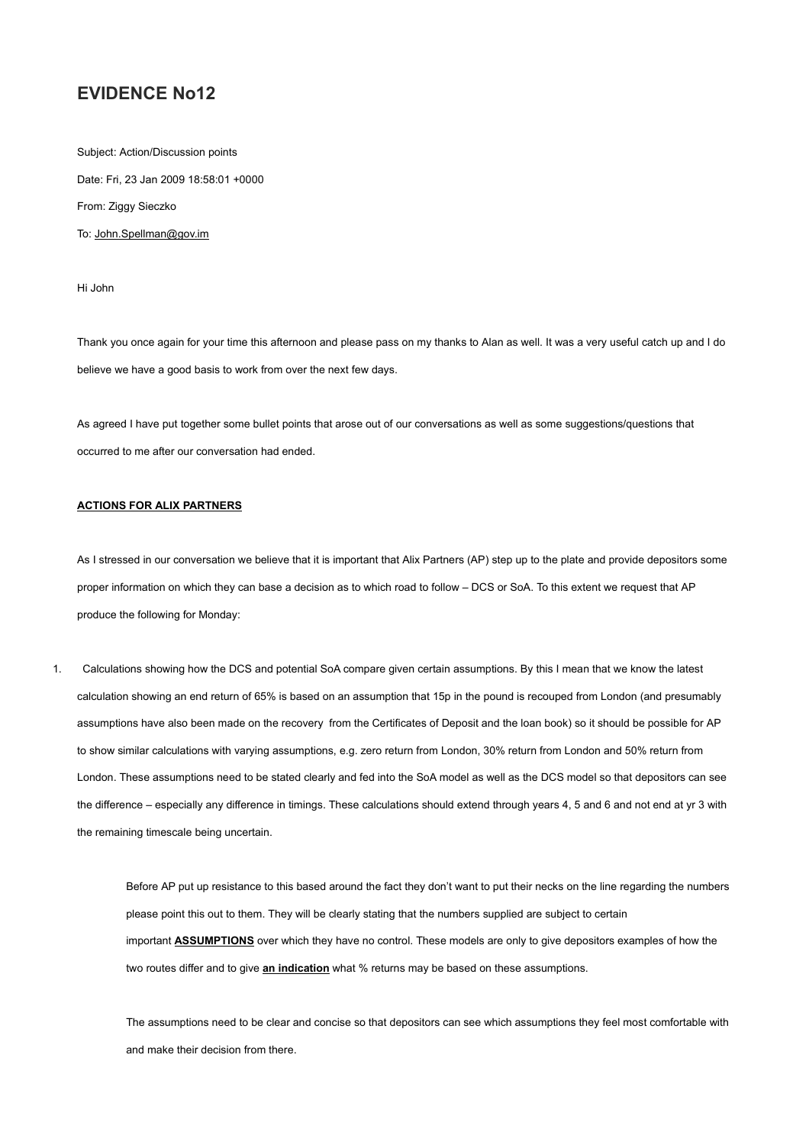Subject: Action/Discussion points Date: Fri, 23 Jan 2009 18:58:01 +0000 From: Ziggy Sieczko To: John.Spellman@gov.im

Hi John

Thank you once again for your time this afternoon and please pass on my thanks to Alan as well. It was a very useful catch up and I do believe we have a good basis to work from over the next few days.

As agreed I have put together some bullet points that arose out of our conversations as well as some suggestions/questions that occurred to me after our conversation had ended.

#### **ACTIONS FOR ALIX PARTNERS**

As I stressed in our conversation we believe that it is important that Alix Partners (AP) step up to the plate and provide depositors some proper information on which they can base a decision as to which road to follow – DCS or SoA. To this extent we request that AP produce the following for Monday:

1. Calculations showing how the DCS and potential SoA compare given certain assumptions. By this I mean that we know the latest calculation showing an end return of 65% is based on an assumption that 15p in the pound is recouped from London (and presumably assumptions have also been made on the recovery from the Certificates of Deposit and the loan book) so it should be possible for AP to show similar calculations with varying assumptions, e.g. zero return from London, 30% return from London and 50% return from London. These assumptions need to be stated clearly and fed into the SoA model as well as the DCS model so that depositors can see the difference – especially any difference in timings. These calculations should extend through years 4, 5 and 6 and not end at yr 3 with the remaining timescale being uncertain.

> Before AP put up resistance to this based around the fact they don't want to put their necks on the line regarding the numbers please point this out to them. They will be clearly stating that the numbers supplied are subject to certain important **ASSUMPTIONS** over which they have no control. These models are only to give depositors examples of how the two routes differ and to give **an indication** what % returns may be based on these assumptions.

> The assumptions need to be clear and concise so that depositors can see which assumptions they feel most comfortable with and make their decision from there.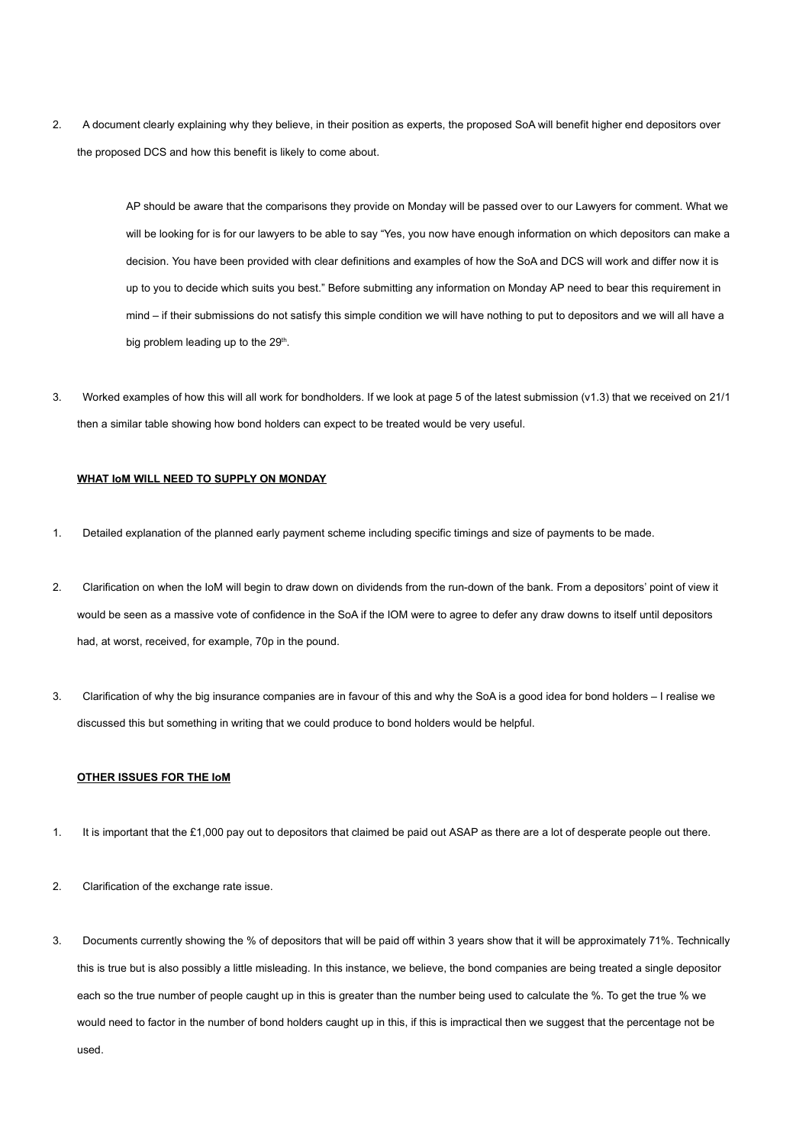2. A document clearly explaining why they believe, in their position as experts, the proposed SoA will benefit higher end depositors over the proposed DCS and how this benefit is likely to come about.

> AP should be aware that the comparisons they provide on Monday will be passed over to our Lawyers for comment. What we will be looking for is for our lawyers to be able to say "Yes, you now have enough information on which depositors can make a decision. You have been provided with clear definitions and examples of how the SoA and DCS will work and differ now it is up to you to decide which suits you best." Before submitting any information on Monday AP need to bear this requirement in mind – if their submissions do not satisfy this simple condition we will have nothing to put to depositors and we will all have a big problem leading up to the 29<sup>th</sup>.

3. Worked examples of how this will all work for bondholders. If we look at page 5 of the latest submission (v1.3) that we received on 21/1 then a similar table showing how bond holders can expect to be treated would be very useful.

#### **WHAT IoM WILL NEED TO SUPPLY ON MONDAY**

- 1. Detailed explanation of the planned early payment scheme including specific timings and size of payments to be made.
- 2. Clarification on when the IoM will begin to draw down on dividends from the run-down of the bank. From a depositors' point of view it would be seen as a massive vote of confidence in the SoA if the IOM were to agree to defer any draw downs to itself until depositors had, at worst, received, for example, 70p in the pound.
- 3. Clarification of why the big insurance companies are in favour of this and why the SoA is a good idea for bond holders I realise we discussed this but something in writing that we could produce to bond holders would be helpful.

#### **OTHER ISSUES FOR THE IoM**

- 1. It is important that the £1,000 pay out to depositors that claimed be paid out ASAP as there are a lot of desperate people out there.
- 2. Clarification of the exchange rate issue.
- 3. Documents currently showing the % of depositors that will be paid off within 3 years show that it will be approximately 71%. Technically this is true but is also possibly a little misleading. In this instance, we believe, the bond companies are being treated a single depositor each so the true number of people caught up in this is greater than the number being used to calculate the %. To get the true % we would need to factor in the number of bond holders caught up in this, if this is impractical then we suggest that the percentage not be used.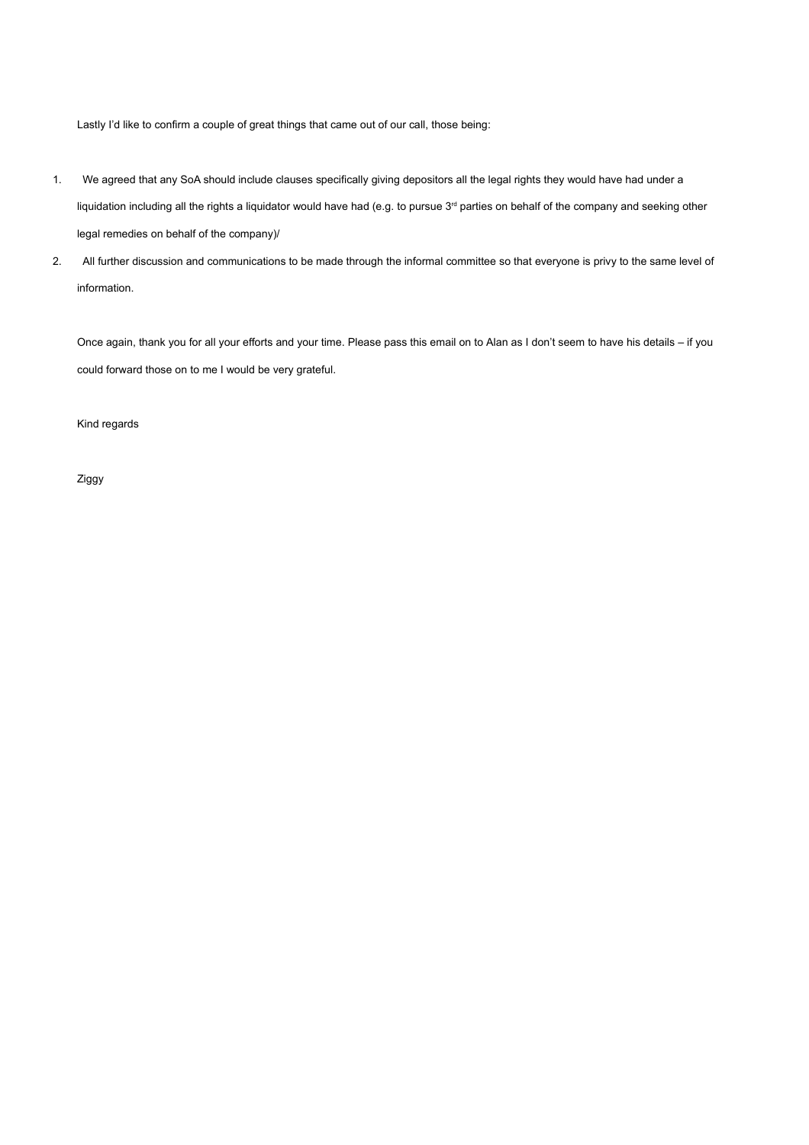Lastly I'd like to confirm a couple of great things that came out of our call, those being:

- 1. We agreed that any SoA should include clauses specifically giving depositors all the legal rights they would have had under a liquidation including all the rights a liquidator would have had (e.g. to pursue 3<sup>rd</sup> parties on behalf of the company and seeking other legal remedies on behalf of the company)/
- 2. All further discussion and communications to be made through the informal committee so that everyone is privy to the same level of information.

Once again, thank you for all your efforts and your time. Please pass this email on to Alan as I don't seem to have his details – if you could forward those on to me I would be very grateful.

Kind regards

Ziggy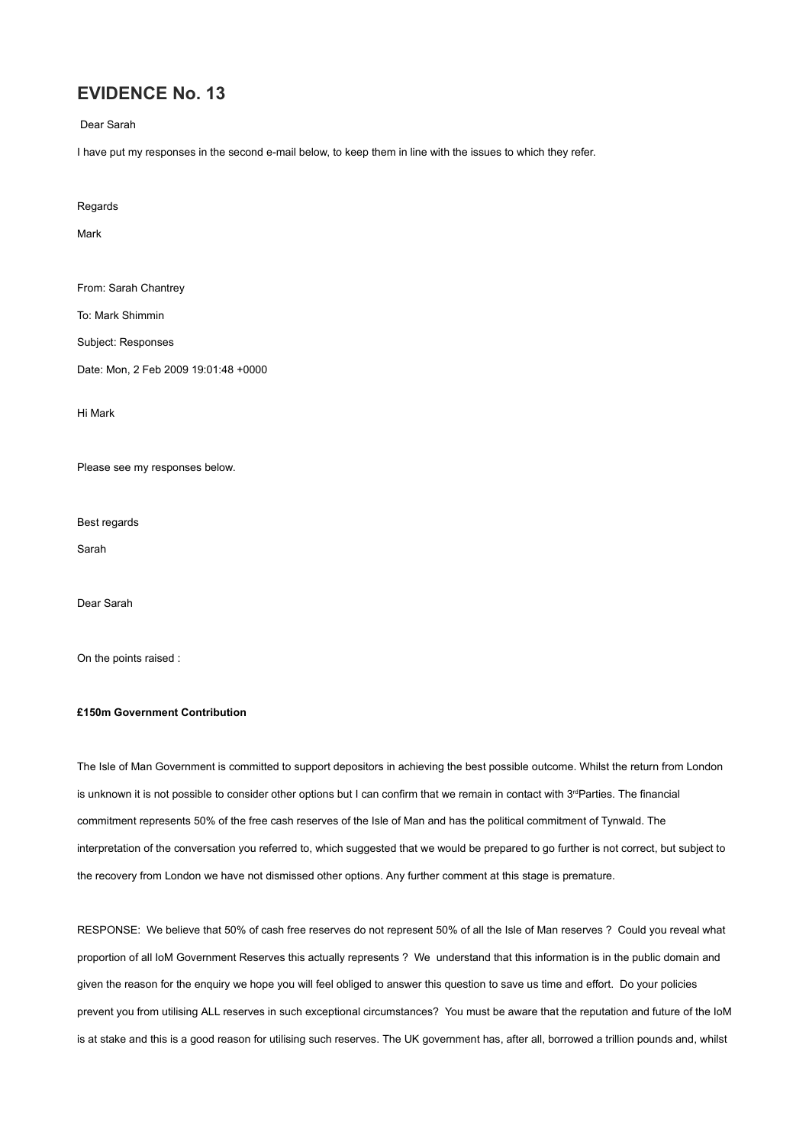Dear Sarah

I have put my responses in the second e-mail below, to keep them in line with the issues to which they refer.

**Regards** 

Mark

From: Sarah Chantrey

To: Mark Shimmin

Subject: Responses

Date: Mon, 2 Feb 2009 19:01:48 +0000

Hi Mark

Please see my responses below.

Best regards

Sarah

Dear Sarah

On the points raised :

#### **£150m Government Contribution**

The Isle of Man Government is committed to support depositors in achieving the best possible outcome. Whilst the return from London is unknown it is not possible to consider other options but I can confirm that we remain in contact with 3<sup>rd</sup>Parties. The financial commitment represents 50% of the free cash reserves of the Isle of Man and has the political commitment of Tynwald. The interpretation of the conversation you referred to, which suggested that we would be prepared to go further is not correct, but subject to the recovery from London we have not dismissed other options. Any further comment at this stage is premature.

RESPONSE: We believe that 50% of cash free reserves do not represent 50% of all the Isle of Man reserves ? Could you reveal what proportion of all IoM Government Reserves this actually represents ? We understand that this information is in the public domain and given the reason for the enquiry we hope you will feel obliged to answer this question to save us time and effort. Do your policies prevent you from utilising ALL reserves in such exceptional circumstances? You must be aware that the reputation and future of the IoM is at stake and this is a good reason for utilising such reserves. The UK government has, after all, borrowed a trillion pounds and, whilst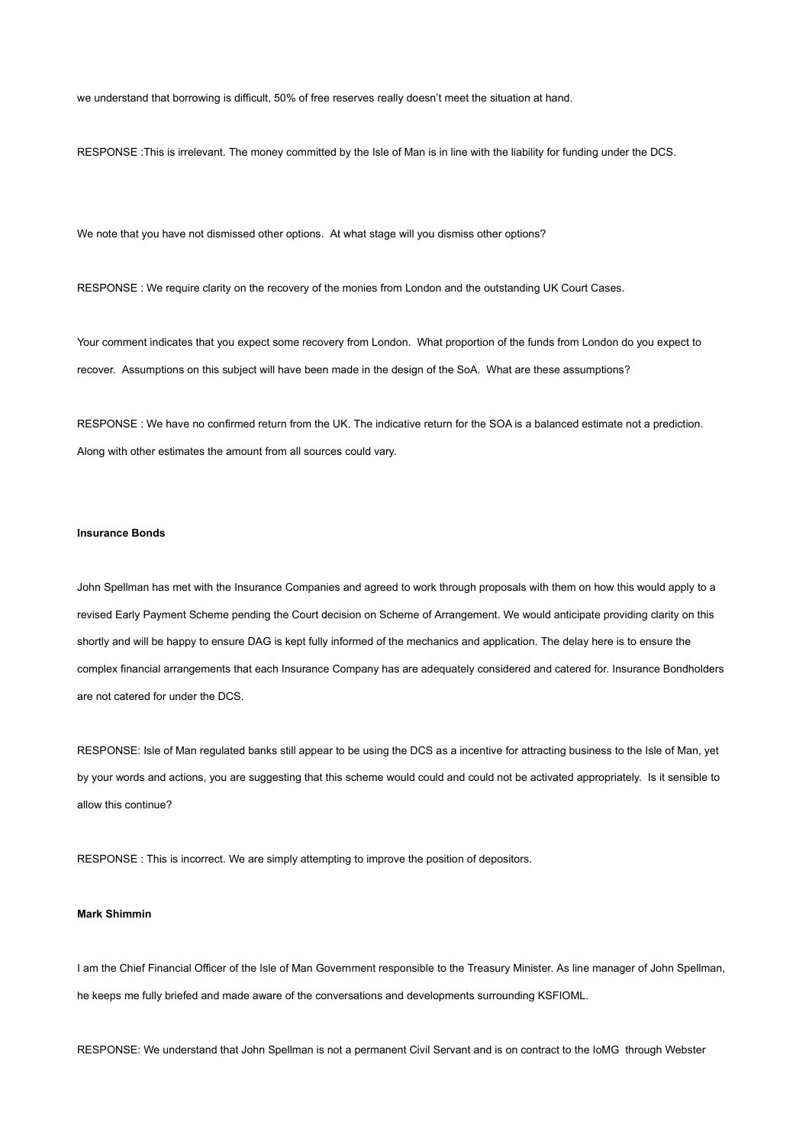we understand that borrowing is difficult, 50% of free reserves really doesn't meet the situation at hand.

RESPONSE :This is irrelevant. The money committed by the Isle of Man is in line with the liability for funding under the DCS.

We note that you have not dismissed other options. At what stage will you dismiss other options?

RESPONSE : We require clarity on the recovery of the monies from London and the outstanding UK Court Cases.

Your comment indicates that you expect some recovery from London. What proportion of the funds from London do you expect to recover. Assumptions on this subject will have been made in the design of the SoA. What are these assumptions?

RESPONSE : We have no confirmed return from the UK. The indicative return for the SOA is a balanced estimate not a prediction. Along with other estimates the amount from all sources could vary.

#### **Insurance Bonds**

John Spellman has met with the Insurance Companies and agreed to work through proposals with them on how this would apply to a revised Early Payment Scheme pending the Court decision on Scheme of Arrangement. We would anticipate providing clarity on this shortly and will be happy to ensure DAG is kept fully informed of the mechanics and application. The delay here is to ensure the complex financial arrangements that each Insurance Company has are adequately considered and catered for. Insurance Bondholders are not catered for under the DCS.

RESPONSE: Isle of Man regulated banks still appear to be using the DCS as a incentive for attracting business to the Isle of Man, yet by your words and actions, you are suggesting that this scheme would could and could not be activated appropriately. Is it sensible to allow this continue?

RESPONSE : This is incorrect. We are simply attempting to improve the position of depositors.

#### **Mark Shimmin**

I am the Chief Financial Officer of the Isle of Man Government responsible to the Treasury Minister. As line manager of John Spellman, he keeps me fully briefed and made aware of the conversations and developments surrounding KSFIOML.

RESPONSE: We understand that John Spellman is not a permanent Civil Servant and is on contract to the IoMG through Webster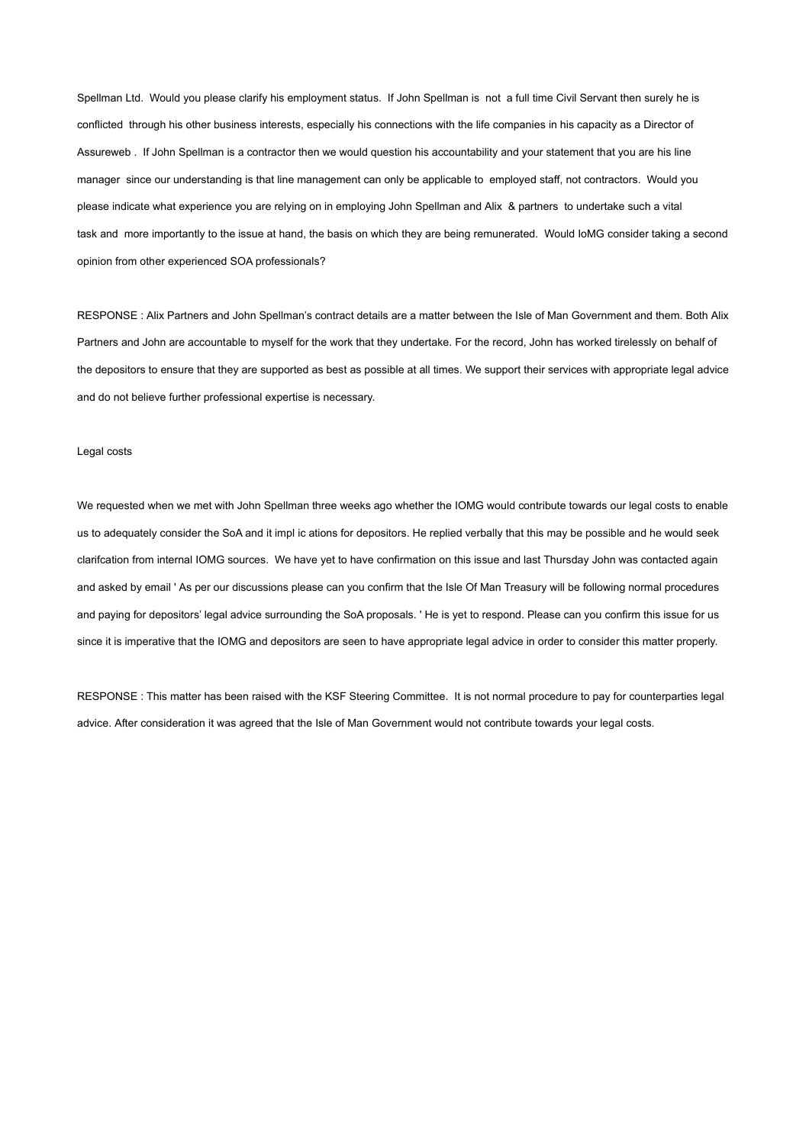Spellman Ltd. Would you please clarify his employment status. If John Spellman is not a full time Civil Servant then surely he is conflicted through his other business interests, especially his connections with the life companies in his capacity as a Director of Assureweb . If John Spellman is a contractor then we would question his accountability and your statement that you are his line manager since our understanding is that line management can only be applicable to employed staff, not contractors. Would you please indicate what experience you are relying on in employing John Spellman and Alix & partners to undertake such a vital task and more importantly to the issue at hand, the basis on which they are being remunerated. Would IoMG consider taking a second opinion from other experienced SOA professionals?

RESPONSE : Alix Partners and John Spellman's contract details are a matter between the Isle of Man Government and them. Both Alix Partners and John are accountable to myself for the work that they undertake. For the record, John has worked tirelessly on behalf of the depositors to ensure that they are supported as best as possible at all times. We support their services with appropriate legal advice and do not believe further professional expertise is necessary.

#### Legal costs

We requested when we met with John Spellman three weeks ago whether the IOMG would contribute towards our legal costs to enable us to adequately consider the SoA and it impl ic ations for depositors. He replied verbally that this may be possible and he would seek clarifcation from internal IOMG sources. We have yet to have confirmation on this issue and last Thursday John was contacted again and asked by email ' As per our discussions please can you confirm that the Isle Of Man Treasury will be following normal procedures and paying for depositors' legal advice surrounding the SoA proposals. ' He is yet to respond. Please can you confirm this issue for us since it is imperative that the IOMG and depositors are seen to have appropriate legal advice in order to consider this matter properly.

RESPONSE : This matter has been raised with the KSF Steering Committee. It is not normal procedure to pay for counterparties legal advice. After consideration it was agreed that the Isle of Man Government would not contribute towards your legal costs.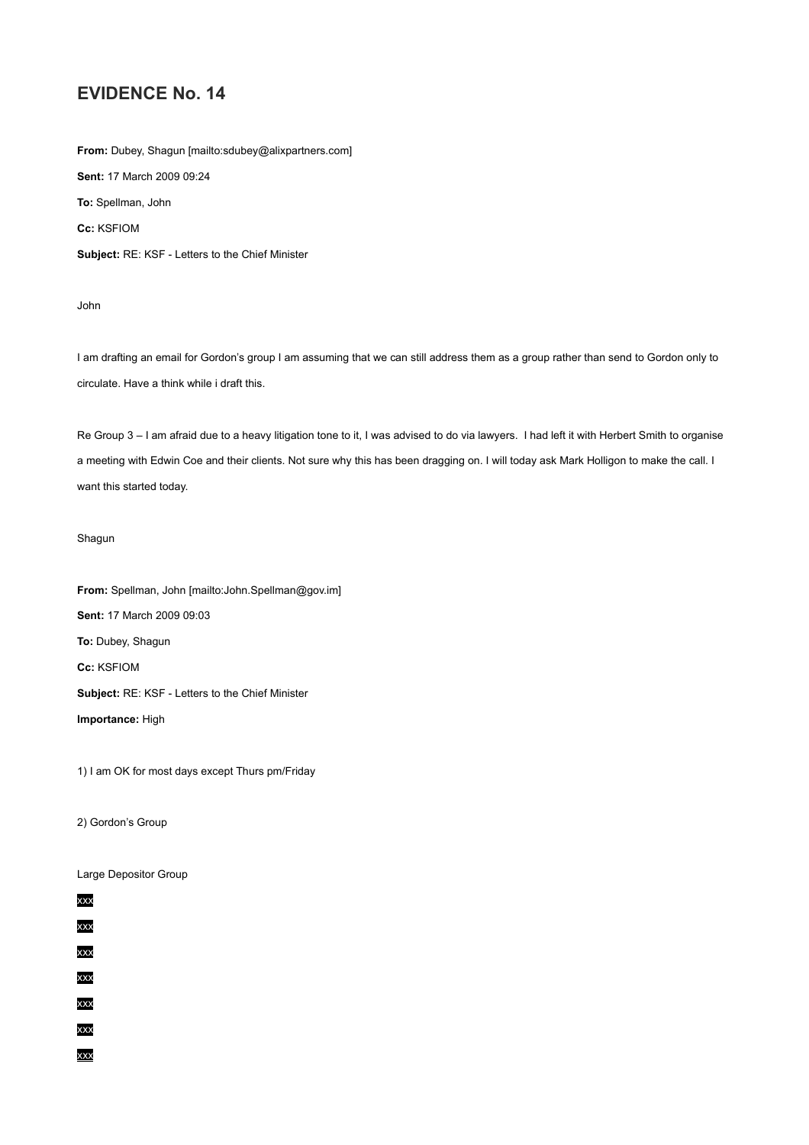**From:** Dubey, Shagun [mailto:sdubey@alixpartners.com] **Sent:** 17 March 2009 09:24 **To:** Spellman, John **Cc:** KSFIOM **Subject:** RE: KSF - Letters to the Chief Minister

John

I am drafting an email for Gordon's group I am assuming that we can still address them as a group rather than send to Gordon only to circulate. Have a think while i draft this.

Re Group 3 – I am afraid due to a heavy litigation tone to it, I was advised to do via lawyers. I had left it with Herbert Smith to organise a meeting with Edwin Coe and their clients. Not sure why this has been dragging on. I will today ask Mark Holligon to make the call. I want this started today.

#### Shagun

**From:** Spellman, John [mailto:John.Spellman@gov.im] **Sent:** 17 March 2009 09:03 **To:** Dubey, Shagun **Cc:** KSFIOM **Subject:** RE: KSF - Letters to the Chief Minister **Importance:** High

1) I am OK for most days except Thurs pm/Friday

2) Gordon's Group

Large Depositor Group

| xxx |
|-----|
| xxx |
| xxx |
| xxx |

xxx

xxx

xxx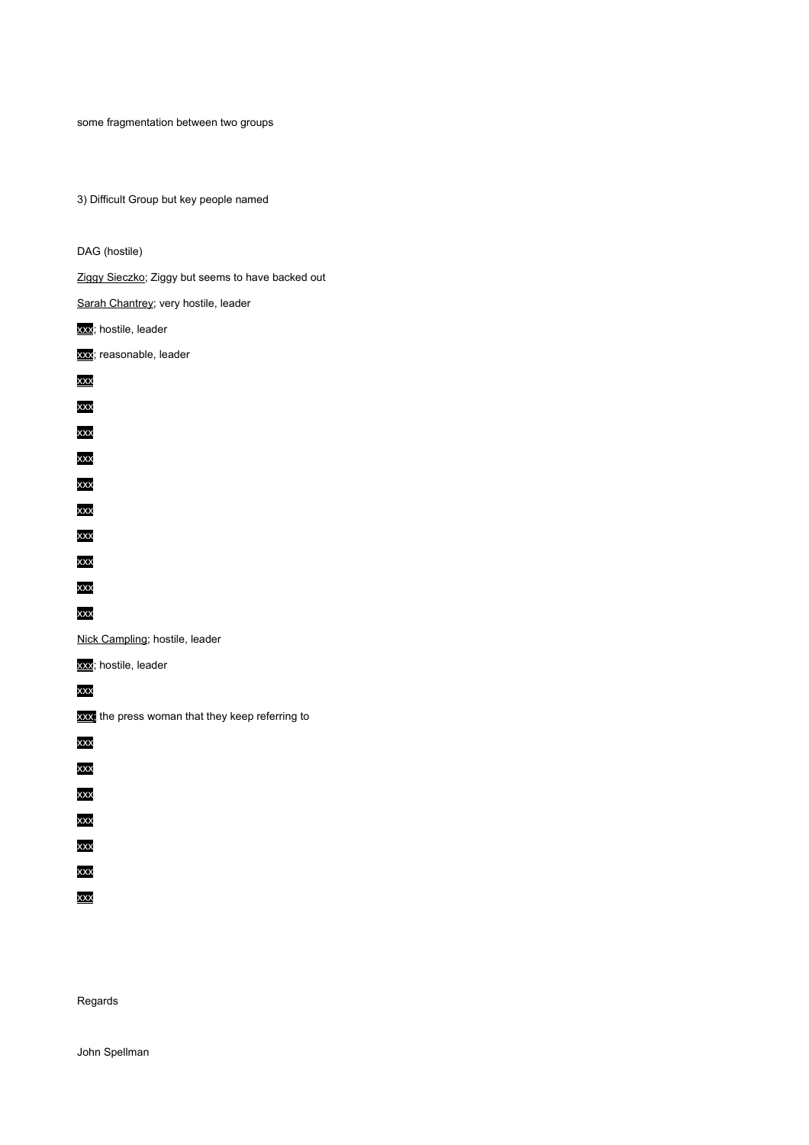some fragmentation between two groups

3) Difficult Group but key people named

DAG (hostile) Ziggy Sieczko; Ziggy but seems to have backed out Sarah Chantrey; very hostile, leader **xxx**; hostile, leader xxx; reasonable, leader xxx xxx xxx xxx xxx xxx xxx xxx xxx xxx Nick Campling; hostile, leader xxx; hostile, leader xxx xxx; the press woman that they keep referring to xxx xxx xxx xxx xxx xxx xxx

Regards

John Spellman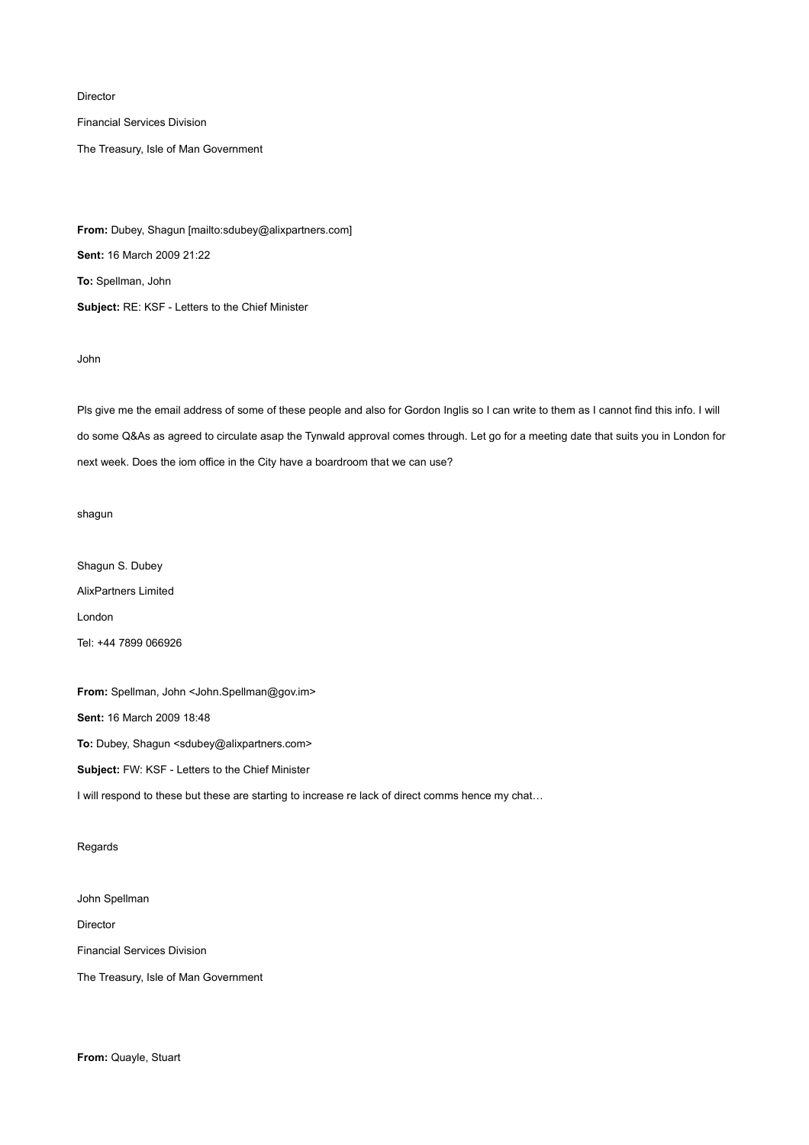Director

Financial Services Division

The Treasury, Isle of Man Government

**From:** Dubey, Shagun [mailto:sdubey@alixpartners.com] **Sent:** 16 March 2009 21:22 **To:** Spellman, John **Subject:** RE: KSF - Letters to the Chief Minister

John

Pls give me the email address of some of these people and also for Gordon Inglis so I can write to them as I cannot find this info. I will do some Q&As as agreed to circulate asap the Tynwald approval comes through. Let go for a meeting date that suits you in London for next week. Does the iom office in the City have a boardroom that we can use?

shagun

Shagun S. Dubey AlixPartners Limited London Tel: +44 7899 066926

**From:** Spellman, John <John.Spellman@gov.im> **Sent:** 16 March 2009 18:48

**To:** Dubey, Shagun <sdubey@alixpartners.com>

**Subject:** FW: KSF - Letters to the Chief Minister

I will respond to these but these are starting to increase re lack of direct comms hence my chat...

#### Regards

John Spellman

Director

Financial Services Division